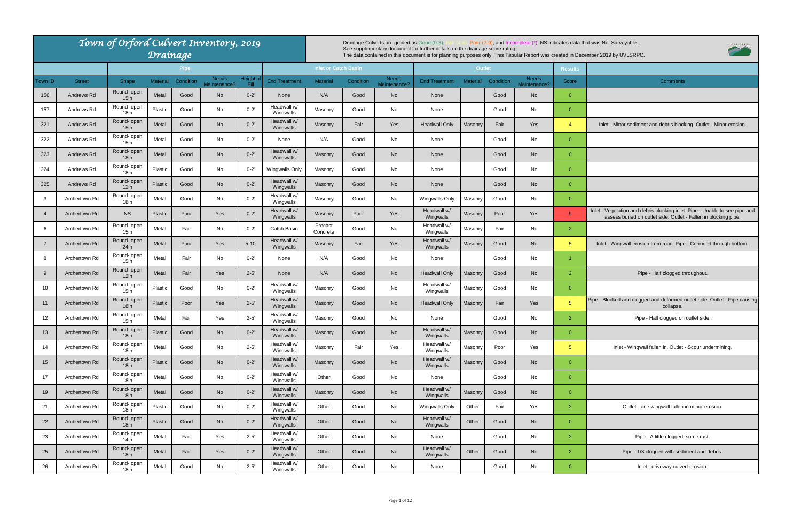|                              |                | oplete (*). NS indicates data that was Not Surveyable.<br>UVLSRPC<br>ar Report was created in December 2019 by UVLSRPC.                        |
|------------------------------|----------------|------------------------------------------------------------------------------------------------------------------------------------------------|
|                              | <b>Results</b> |                                                                                                                                                |
| <b>Needs</b><br>Maintenance? | <b>Score</b>   | <b>Comments</b>                                                                                                                                |
| No                           | 0              |                                                                                                                                                |
| No                           | 0              |                                                                                                                                                |
| Yes                          | 4              | Inlet - Minor sediment and debris blocking. Outlet - Minor erosion.                                                                            |
| No                           | 0              |                                                                                                                                                |
| No                           | 0              |                                                                                                                                                |
| No                           | 0              |                                                                                                                                                |
| No                           | 0              |                                                                                                                                                |
| No                           | $\pmb{0}$      |                                                                                                                                                |
| Yes                          | 9              | Inlet - Vegetation and debris blocking inlet. Pipe - Unable to see pipe and<br>assess buried on outlet side. Outlet - Fallen in blocking pipe. |
| No                           | $\overline{2}$ |                                                                                                                                                |
| No                           | 5              | Inlet - Wingwall erosion from road. Pipe - Corroded through bottom.                                                                            |
| No                           | $\overline{1}$ |                                                                                                                                                |
| No                           | $\overline{2}$ | Pipe - Half clogged throughout.                                                                                                                |
| No                           | 0              |                                                                                                                                                |
| Yes                          | 5              | Pipe - Blocked and clogged and deformed outlet side. Outlet - Pipe causing<br>collapse.                                                        |
| No                           | 2              | Pipe - Half clogged on outlet side.                                                                                                            |
| <b>No</b>                    | 0              |                                                                                                                                                |
| Yes                          | 5              | Inlet - Wingwall fallen in. Outlet - Scour undermining.                                                                                        |
| No                           | 0              |                                                                                                                                                |
| No                           | 0              |                                                                                                                                                |
| No                           | 0              |                                                                                                                                                |
| Yes                          | $\overline{2}$ | Outlet - one wingwall fallen in minor erosion.                                                                                                 |
| <b>No</b>                    | $\overline{0}$ |                                                                                                                                                |
| No                           | $\overline{2}$ | Pipe - A little clogged; some rust.                                                                                                            |
| <b>No</b>                    | 2              | Pipe - 1/3 clogged with sediment and debris.                                                                                                   |
| No                           | 0              | Inlet - driveway culvert erosion.                                                                                                              |

|         |               | Town of Orford Culvert Inventory, 2019 |                 | Drainage    |                              |                     |                           |                             |           | Drainage Culverts are graded as Good (0-3), | See supplementary document for further details on the drainage score rating |                 |           |                              |                      | Poor (7-9), and Incomplete (*). NS indicates data that was Not Surveyable.<br>The data contained in this document is for planning purposes only. This Tabular Report was created in December 2019 by UVLSRPC. |
|---------|---------------|----------------------------------------|-----------------|-------------|------------------------------|---------------------|---------------------------|-----------------------------|-----------|---------------------------------------------|-----------------------------------------------------------------------------|-----------------|-----------|------------------------------|----------------------|---------------------------------------------------------------------------------------------------------------------------------------------------------------------------------------------------------------|
|         |               |                                        |                 | <b>Pipe</b> |                              |                     |                           | <b>Inlet or Catch Basin</b> |           |                                             |                                                                             | <b>Outlet</b>   |           |                              | <b>Results</b>       |                                                                                                                                                                                                               |
| Town ID | <b>Street</b> | Shape                                  | <b>Material</b> | Condition   | <b>Needs</b><br>Maintenance? | Height of<br>- Fill | <b>End Treatment</b>      | <b>Material</b>             | Condition | <b>Needs</b><br>Maintenance                 | <b>End Treatment</b>                                                        | <b>Material</b> | Condition | <b>Needs</b><br>Maintenance? | Score                | Comments                                                                                                                                                                                                      |
| 156     | Andrews Rd    | Round- open<br>$15$ in                 | Metal           | Good        | <b>No</b>                    | $0 - 2'$            | None                      | N/A                         | Good      | No                                          | None                                                                        |                 | Good      | <b>No</b>                    | $\overline{0}$       |                                                                                                                                                                                                               |
| 157     | Andrews Rd    | Round- open<br>18in                    | Plastic         | Good        | No                           | $0 - 2'$            | Headwall w/<br>Wingwalls  | Masonry                     | Good      | No                                          | None                                                                        |                 | Good      | No                           | $\overline{0}$       |                                                                                                                                                                                                               |
| 321     | Andrews Rd    | Round- open<br>$15$ in                 | Metal           | Good        | <b>No</b>                    | $0 - 2'$            | Headwall w/<br>Wingwalls  | Masonry                     | Fair      | Yes                                         | Headwall Only                                                               | Masonry         | Fair      | Yes                          | $\overline{4}$       | Inlet - Minor sediment and debris blocking. Outlet - Minor erosion.                                                                                                                                           |
| 322     | Andrews Rd    | Round- open<br>$15$ in                 | Metal           | Good        | No                           | $0 - 2'$            | None                      | N/A                         | Good      | No                                          | None                                                                        |                 | Good      | No                           | $\overline{0}$       |                                                                                                                                                                                                               |
| 323     | Andrews Rd    | Round- open<br>18 <sub>in</sub>        | Metal           | Good        | <b>No</b>                    | $0 - 2'$            | leadwall w/<br>Wingwalls  | Masonry                     | Good      | <b>No</b>                                   | None                                                                        |                 | Good      | <b>No</b>                    | $\overline{0}$       |                                                                                                                                                                                                               |
| 324     | Andrews Rd    | Round- open<br>18in                    | Plastic         | Good        | No                           | $0 - 2'$            | Wingwalls Only            | Masonry                     | Good      | No                                          | None                                                                        |                 | Good      | No                           | $\overline{0}$       |                                                                                                                                                                                                               |
| 325     | Andrews Rd    | Round- open<br>12in                    | Plastic         | Good        | <b>No</b>                    | $0 - 2'$            | Headwall w/<br>Wingwalls  | Masonry                     | Good      | <b>No</b>                                   | None                                                                        |                 | Good      | <b>No</b>                    | $\overline{0}$       |                                                                                                                                                                                                               |
| -3      | Archertown Rd | Round- open<br>18in                    | Metal           | Good        | No                           | $0 - 2'$            | Headwall w/<br>Wingwalls  | Masonry                     | Good      | No                                          | <b>Wingwalls Only</b>                                                       | Masonry         | Good      | No                           | $\overline{0}$       |                                                                                                                                                                                                               |
|         | Archertown Rd | <b>NS</b>                              | Plastic         | Poor        | Yes                          | $0 - 2'$            | Headwall w/<br>Wingwalls  | Masonry                     | Poor      | Yes                                         | Headwall w/<br>Wingwalls                                                    | Masonry         | Poor      | Yes                          | 9                    | Inlet - Vegetation and debris blocking inlet. Pipe - Unable to see pipe a<br>assess buried on outlet side. Outlet - Fallen in blocking pipe.                                                                  |
|         | Archertown Rd | Round-open<br>15in                     | Metal           | Fair        | No                           | $0 - 2'$            | Catch Basin               | Precast<br>Concrete         | Good      | No                                          | Headwall w/<br>Wingwalls                                                    | Masonry         | Fair      | No                           | $\mathbf{2}$         |                                                                                                                                                                                                               |
| - 7     | Archertown Rd | Round- open<br>$24$ in                 | Metal           | Poor        | Yes                          | $5 - 10'$           | Headwall w/<br>Wingwalls  | Masonry                     | Fair      | Yes                                         | Headwall w/<br>Wingwalls                                                    | Masonry         | Good      | <b>No</b>                    | 5 <sup>5</sup>       | Inlet - Wingwall erosion from road. Pipe - Corroded through bottom                                                                                                                                            |
| 8       | Archertown Rd | Round- open<br>$15$ in                 | Metal           | Fair        | No                           | $0 - 2'$            | None                      | N/A                         | Good      | No                                          | None                                                                        |                 | Good      | No                           | $\blacktriangleleft$ |                                                                                                                                                                                                               |
| -9      | Archertown Rd | Round- open<br>12in                    | Metal           | Fair        | Yes                          | $2 - 5'$            | None                      | N/A                         | Good      | <b>No</b>                                   | Headwall Only                                                               | Masonry         | Good      | <b>No</b>                    | $\mathbf{2}$         | Pipe - Half clogged throughout.                                                                                                                                                                               |
| 10      | Archertown Rd | Round- open<br>15in                    | Plastic         | Good        | No                           | $0 - 2'$            | Headwall w/<br>Wingwalls  | Masonry                     | Good      | No                                          | Headwall w/<br>Wingwalls                                                    | Masonry         | Good      | No                           | $\overline{0}$       |                                                                                                                                                                                                               |
| 11      | Archertown Rd | Round- open<br>18 <sub>in</sub>        | Plastic         | Poor        | Yes                          | $2 - 5'$            | Headwall w/<br>Wingwalls  | Masonry                     | Good      | <b>No</b>                                   | <b>Headwall Only</b>                                                        | Masonry         | Fair      | Yes                          | 5 <sup>5</sup>       | Pipe - Blocked and clogged and deformed outlet side. Outlet - Pipe caus<br>collapse.                                                                                                                          |
| 12      | Archertown Rd | Round- open<br>15in                    | Metal           | Fair        | Yes                          | $2 - 5'$            | Headwall w/<br>Wingwalls  | Masonry                     | Good      | No                                          | None                                                                        |                 | Good      | No                           | $\overline{2}$       | Pipe - Half clogged on outlet side.                                                                                                                                                                           |
| 13      | Archertown Rd | Round- open<br>18 <sub>in</sub>        | Plastic         | Good        | <b>No</b>                    | $0 - 2'$            | Headwall w/<br>Wingwalls  | Masonry                     | Good      | <b>No</b>                                   | Headwall w/<br>Wingwalls                                                    | Masonry         | Good      | <b>No</b>                    | $\overline{0}$       |                                                                                                                                                                                                               |
| 14      | Archertown Rd | Round- open<br>18in                    | Metal           | Good        | No                           | $2 - 5'$            | -leadwall w/<br>Wingwalls | Masonry                     | Fair      | Yes                                         | Headwall w/<br>Wingwalls                                                    | Masonry         | Poor      | Yes                          | 5 <sup>5</sup>       | Inlet - Wingwall fallen in. Outlet - Scour undermining.                                                                                                                                                       |
| 15      | Archertown Rd | Round- open<br>18 <sub>in</sub>        | Plastic         | Good        | <b>No</b>                    | $0 - 2'$            | Headwall w/<br>Wingwalls  | Masonry                     | Good      | <b>No</b>                                   | Headwall w/<br>Wingwalls                                                    | Masonry         | Good      | No                           | $\overline{0}$       |                                                                                                                                                                                                               |
| 17      | Archertown Rd | Round- open<br>18in                    | Metal           | Good        | No                           | $0 - 2'$            | Headwall w/<br>Wingwalls  | Other                       | Good      | No                                          | None                                                                        |                 | Good      | No                           | $\overline{0}$       |                                                                                                                                                                                                               |
| 19      | Archertown Rd | Round- open<br>18 <sub>in</sub>        | Metal           | Good        | <b>No</b>                    | $0 - 2'$            | Headwall w/<br>Wingwalls  | Masonry                     | Good      | <b>No</b>                                   | Headwall w/<br>Wingwalls                                                    | Masonry         | Good      | <b>No</b>                    | $\overline{0}$       |                                                                                                                                                                                                               |
| 21      | Archertown Rd | Round- open<br>18in                    | Plastic         | Good        | No                           | $0 - 2'$            | Headwall w/<br>Wingwalls  | Other                       | Good      | No                                          | Wingwalls Only                                                              | Other           | Fair      | Yes                          | $\overline{2}$       | Outlet - one wingwall fallen in minor erosion.                                                                                                                                                                |
| 22      | Archertown Rd | Round- open<br>18 <sub>in</sub>        | Plastic         | Good        | <b>No</b>                    | $0 - 2'$            | Headwall w/<br>Wingwalls  | Other                       | Good      | <b>No</b>                                   | Headwall w/<br>Wingwalls                                                    | Other           | Good      | <b>No</b>                    | $\overline{0}$       |                                                                                                                                                                                                               |
| 23      | Archertown Rd | Round- open<br>14in                    | Metal           | Fair        | Yes                          | $2 - 5'$            | Headwall w/<br>Wingwalls  | Other                       | Good      | No                                          | None                                                                        |                 | Good      | No                           | $\mathbf{2}$         | Pipe - A little clogged; some rust.                                                                                                                                                                           |
| 25      | Archertown Rd | Round- open<br>18 <sub>in</sub>        | Metal           | Fair        | Yes                          | $0 - 2'$            | Headwall w/<br>Wingwalls  | Other                       | Good      | No                                          | Headwall w/<br>Wingwalls                                                    | Other           | Good      | <b>No</b>                    | $\overline{2}$       | Pipe - 1/3 clogged with sediment and debris.                                                                                                                                                                  |
| 26      | Archertown Rd | Round- open<br>18in                    | Metal           | Good        | No                           | $2 - 5'$            | Headwall w/<br>Wingwalls  | Other                       | Good      | No                                          | None                                                                        |                 | Good      | No                           | $\overline{0}$       | Inlet - driveway culvert erosion.                                                                                                                                                                             |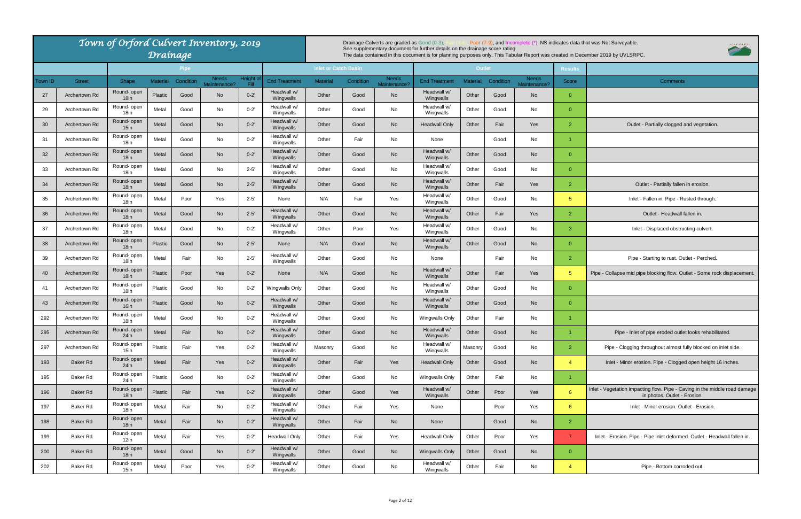|         |                 | Town of Orford Culvert Inventory, 2019 | Drainage        |             |                              |                    |                          |                             |           | Drainage Culverts are graded as Good (0-3), | See supplementary document for further details on the drainage score rating.<br>The data contained in this document is for planning purposes only. This Tabular Report was created in Dece |                 |           | Poor (7-9), and Incomplete (*). NS indicates data that |                      |
|---------|-----------------|----------------------------------------|-----------------|-------------|------------------------------|--------------------|--------------------------|-----------------------------|-----------|---------------------------------------------|--------------------------------------------------------------------------------------------------------------------------------------------------------------------------------------------|-----------------|-----------|--------------------------------------------------------|----------------------|
|         |                 |                                        |                 | <b>Pipe</b> |                              |                    |                          | <b>Inlet or Catch Basin</b> |           |                                             |                                                                                                                                                                                            | <b>Outlet</b>   |           |                                                        | <b>Results</b>       |
| Town ID | <b>Street</b>   | Shape                                  | <b>Material</b> | Condition   | <b>Needs</b><br>Maintenance? | Height of<br>Fill. | <b>End Treatment</b>     | <b>Material</b>             | Condition | <b>Needs</b><br>Maintenance?                | <b>End Treatment</b>                                                                                                                                                                       | <b>Material</b> | Condition | <b>Needs</b><br>Maintenance?                           | Score                |
| 27      | Archertown Rd   | Round- open<br>18 <sub>in</sub>        | <b>Plastic</b>  | Good        | <b>No</b>                    | $0 - 2'$           | Headwall w/<br>Wingwalls | Other                       | Good      | No                                          | Headwall w/<br>Wingwalls                                                                                                                                                                   | Other           | Good      | <b>No</b>                                              | $\overline{0}$       |
| 29      | Archertown Rd   | Round- open<br>18in                    | Metal           | Good        | No                           | $0 - 2'$           | Headwall w/<br>Wingwalls | Other                       | Good      | No                                          | Headwall w/<br>Wingwalls                                                                                                                                                                   | Other           | Good      | No                                                     | $\overline{0}$       |
| 30      | Archertown Rd   | Round- open<br>$15$ in                 | Metal           | Good        | <b>No</b>                    | $0 - 2'$           | Headwall w/<br>Wingwalls | Other                       | Good      | <b>No</b>                                   | <b>Headwall Only</b>                                                                                                                                                                       | Other           | Fair      | <b>Yes</b>                                             | $\overline{2}$       |
| 31      | Archertown Rd   | Round- open<br>18 <sub>in</sub>        | Metal           | Good        | No                           | $0 - 2'$           | Headwall w/<br>Wingwalls | Other                       | Fair      | No                                          | None                                                                                                                                                                                       |                 | Good      | No                                                     | $\mathbf{1}$         |
| 32      | Archertown Rd   | Round-open<br>18in                     | Metal           | Good        | <b>No</b>                    | $0 - 2'$           | Headwall w/<br>Wingwalls | Other                       | Good      | <b>No</b>                                   | Headwall w/<br>Wingwalls                                                                                                                                                                   | Other           | Good      | <b>No</b>                                              | $\overline{0}$       |
| 33      | Archertown Rd   | Round- open<br>18in                    | Metal           | Good        | No                           | $2 - 5'$           | Headwall w/<br>Wingwalls | Other                       | Good      | No                                          | Headwall w/<br>Wingwalls                                                                                                                                                                   | Other           | Good      | No                                                     | $\overline{0}$       |
| 34      | Archertown Rd   | Round-open<br>18 <sub>in</sub>         | Metal           | Good        | <b>No</b>                    | $2 - 5'$           | Headwall w/<br>Wingwalls | Other                       | Good      | <b>No</b>                                   | Headwall w/<br>Wingwalls                                                                                                                                                                   | Other           | Fair      | <b>Yes</b>                                             | $\overline{2}$       |
| 35      | Archertown Rd   | Round- open<br>18in                    | Metal           | Poor        | Yes                          | $2 - 5'$           | None                     | N/A                         | Fair      | Yes                                         | Headwall w/<br>Wingwalls                                                                                                                                                                   | Other           | Good      | No                                                     | 5 <sup>5</sup>       |
| 36      | Archertown Rd   | Round- open<br>18in                    | Metal           | Good        | <b>No</b>                    | $2 - 5'$           | Headwall w/<br>Wingwalls | Other                       | Good      | <b>No</b>                                   | Headwall w/<br>Wingwalls                                                                                                                                                                   | Other           | Fair      | <b>Yes</b>                                             | $\overline{2}$       |
| 37      | Archertown Rd   | Round- open<br>18in                    | Metal           | Good        | No                           | $0 - 2'$           | Headwall w/<br>Wingwalls | Other                       | Poor      | Yes                                         | Headwall w/<br>Wingwalls                                                                                                                                                                   | Other           | Good      | No                                                     | 3                    |
| 38      | Archertown Rd   | Round- open<br>18 <sub>in</sub>        | <b>Plastic</b>  | Good        | <b>No</b>                    | $2 - 5'$           | None                     | N/A                         | Good      | <b>No</b>                                   | Headwall w/<br>Wingwalls                                                                                                                                                                   | Other           | Good      | <b>No</b>                                              | $\overline{0}$       |
| 39      | Archertown Rd   | Round- open<br>18in                    | Metal           | Fair        | No                           | $2 - 5'$           | Headwall w/<br>Wingwalls | Other                       | Good      | No                                          | None                                                                                                                                                                                       |                 | Fair      | No                                                     | $\overline{2}$       |
| 40      | Archertown Rd   | Round- open<br>18 <sub>in</sub>        | <b>Plastic</b>  | Poor        | Yes                          | $0 - 2'$           | None                     | N/A                         | Good      | <b>No</b>                                   | Headwall w/<br>Wingwalls                                                                                                                                                                   | Other           | Fair      | <b>Yes</b>                                             | 5 <sup>5</sup>       |
| 41      | Archertown Rd   | Round- open<br>18in                    | Plastic         | Good        | No                           | $0 - 2'$           | <b>Wingwalls Only</b>    | Other                       | Good      | No                                          | Headwall w/<br>Wingwalls                                                                                                                                                                   | Other           | Good      | No                                                     | $\overline{0}$       |
| 43      | Archertown Rd   | Round- open<br>$16$ in                 | <b>Plastic</b>  | Good        | No                           | $0 - 2'$           | Headwall w/<br>Wingwalls | Other                       | Good      | <b>No</b>                                   | Headwall w/<br><b>Wingwalls</b>                                                                                                                                                            | Other           | Good      | <b>No</b>                                              | $\overline{0}$       |
| 292     | Archertown Rd   | Round- open<br>18in                    | Metal           | Good        | No                           | $0 - 2'$           | Headwall w/<br>Wingwalls | Other                       | Good      | No                                          | <b>Wingwalls Only</b>                                                                                                                                                                      | Other           | Fair      | No                                                     | $\blacktriangleleft$ |
| 295     | Archertown Rd   | Round- open<br>24in                    | Metal           | Fair        | <b>No</b>                    | $0 - 2'$           | Headwall w/<br>Wingwalls | Other                       | Good      | No                                          | Headwall w/<br>Wingwalls                                                                                                                                                                   | Other           | Good      | No                                                     | $\mathbf{1}$         |
| 297     | Archertown Rd   | Round- open<br>$15$ in                 | Plastic         | Fair        | Yes                          | $0 - 2'$           | Headwall w/<br>Wingwalls | Masonry                     | Good      | No                                          | Headwall w/<br>Wingwalls                                                                                                                                                                   | Masonry         | Good      | No                                                     | $\overline{2}$       |
| 193     | <b>Baker Rd</b> | Round- open<br>$24$ in                 | Metal           | Fair        | Yes                          | $0 - 2'$           | Headwall w/<br>Wingwalls | Other                       | Fair      | Yes                                         | <b>Headwall Only</b>                                                                                                                                                                       | Other           | Good      | No                                                     | $\overline{4}$       |
| 195     | Baker Rd        | Round- open<br>24in                    | Plastic         | Good        | No                           | $0 - 2'$           | Headwall w/<br>Wingwalls | Other                       | Good      | No                                          | <b>Wingwalls Only</b>                                                                                                                                                                      | Other           | Fair      | No                                                     | $\mathbf{1}$         |
| 196     | Baker Rd        | Round- open<br>18in                    | Plastic         | Fair        | Yes                          | $0 - 2'$           | Headwall w/<br>Wingwalls | Other                       | Good      | Yes                                         | Headwall w/<br>Wingwalls                                                                                                                                                                   | Other           | Poor      | Yes                                                    | $6^{\circ}$          |
| 197     | Baker Rd        | Round- open<br>18in                    | Metal           | Fair        | No                           | $0 - 2'$           | Headwall w/<br>Wingwalls | Other                       | Fair      | Yes                                         | None                                                                                                                                                                                       |                 | Poor      | Yes                                                    | $6^{\circ}$          |
| 198     | <b>Baker Rd</b> | Round- open<br>18 <sub>in</sub>        | Metal           | Fair        | No                           | $0 - 2'$           | Headwall w/<br>Wingwalls | Other                       | Fair      | <b>No</b>                                   | None                                                                                                                                                                                       |                 | Good      | No                                                     | $\overline{2}$       |
| 199     | Baker Rd        | Round- open<br>$12$ in                 | Metal           | Fair        | Yes                          | $0 - 2'$           | <b>Headwall Only</b>     | Other                       | Fair      | Yes                                         | <b>Headwall Only</b>                                                                                                                                                                       | Other           | Poor      | Yes                                                    | $\overline{7}$       |
| 200     | Baker Rd        | Round- open<br>$18$ in                 | Metal           | Good        | No                           | $0 - 2'$           | Headwall w/<br>Wingwalls | Other                       | Good      | No                                          | <b>Wingwalls Only</b>                                                                                                                                                                      | Other           | Good      | <b>No</b>                                              | $\overline{0}$       |
| 202     | Baker Rd        | Round- open<br>$15$ in                 | Metal           | Poor        | Yes                          | $0 - 2'$           | Headwall w/<br>Wingwalls | Other                       | Good      | No                                          | Headwall w/<br>Wingwalls                                                                                                                                                                   | Other           | Fair      | No                                                     | $\overline{4}$       |

at was Not Surveyable. UVLSRPC ember 2019 by UVLSRPC. Maintenance? Score Comments Outlet - Partially clogged and vegetation. Outlet - Partially fallen in erosion. Inlet - Fallen in. Pipe - Rusted through. Outlet - Headwall fallen in. Inlet - Displaced obstructing culvert. Pipe - Starting to rust. Outlet - Perched. Pipe - Collapse mid pipe blocking flow. Outlet - Some rock displacement. Pipe - Inlet of pipe eroded outlet looks rehabilitated. Pipe - Clogging throughout almost fully blocked on inlet side. Inlet - Minor erosion. Pipe - Clogged open height 16 inches. Inlet - Vegetation impacting flow. Pipe - Caving in the middle road damage in photos. Outlet - Erosion. Inlet - Minor erosion. Outlet - Erosion. Inlet - Erosion. Pipe - Pipe inlet deformed. Outlet - Headwall fallen in. Pipe - Bottom corroded out.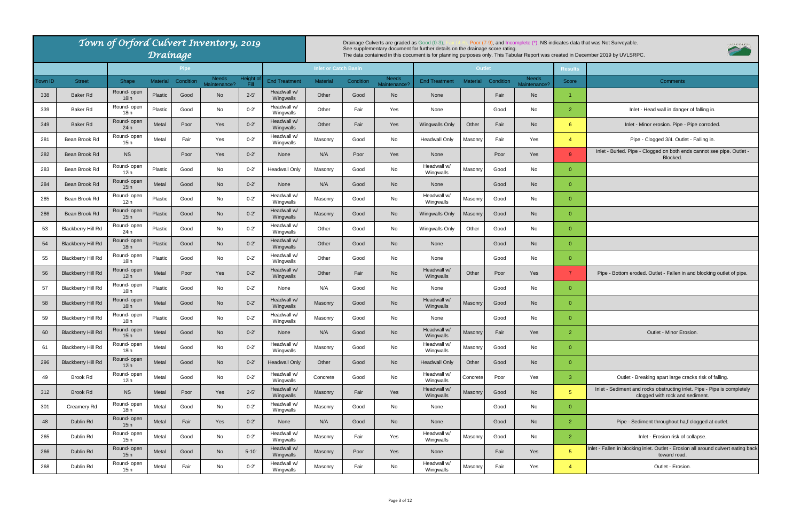Inlet - Buried. Pipe - Clogged on both ends cannot see pipe. Outlet - Blocked.

Pipe - Bottom eroded. Outlet - Fallen in and blocking outlet of pipe.

Outlet - Minor Erosion.

Outlet - Breaking apart large cracks risk of falling.

|         |                           | Town of Orford Culvert Inventory, 2019 |                 |             |                       |                    |                          |                             |           | Drainage Culverts are graded as Good (0-3), |                                                                              |                 |           |                              |                | Poor (7-9), and Incomplete (*). NS indicates data that was Not Surveyable.                                                      |
|---------|---------------------------|----------------------------------------|-----------------|-------------|-----------------------|--------------------|--------------------------|-----------------------------|-----------|---------------------------------------------|------------------------------------------------------------------------------|-----------------|-----------|------------------------------|----------------|---------------------------------------------------------------------------------------------------------------------------------|
|         |                           |                                        | Drainage        |             |                       |                    |                          |                             |           |                                             | See supplementary document for further details on the drainage score rating. |                 |           |                              |                | The data contained in this document is for planning purposes only. This Tabular Report was created in December 2019 by UVLSRPC. |
|         |                           |                                        |                 | <b>Pipe</b> |                       |                    |                          | <b>Inlet or Catch Basin</b> |           |                                             |                                                                              | <b>Outlet</b>   |           |                              | <b>Results</b> |                                                                                                                                 |
| Town ID | <b>Street</b>             | Shape                                  | <b>Material</b> | Condition   | Needs<br>Maintenance? | Height of<br>Fill. | End Treatment            | <b>Material</b>             | Condition | <b>Needs</b><br>Maintenance?                | <b>End Treatment</b>                                                         | <b>Material</b> | Condition | <b>Needs</b><br>Maintenance? | Score          | <b>Comments</b>                                                                                                                 |
| 338     | Baker Rd                  | Round- open<br>18 <sub>in</sub>        | Plastic         | Good        | <b>No</b>             | $2 - 5'$           | Headwall w/<br>Wingwalls | Other                       | Good      | <b>No</b>                                   | None                                                                         |                 | Fair      | <b>No</b>                    | $\mathbf{1}$   |                                                                                                                                 |
| 339     | Baker Rd                  | Round- open<br>18 <sub>in</sub>        | Plastic         | Good        | No                    | $0 - 2'$           | Headwall w/<br>Wingwalls | Other                       | Fair      | Yes                                         | None                                                                         |                 | Good      | No                           | 2 <sup>1</sup> | Inlet - Head wall in danger o                                                                                                   |
| 349     | Baker Rd                  | Round-open<br>$24$ in                  | Metal           | Poor        | Yes                   | $0 - 2'$           | Headwall w/<br>Wingwalls | Other                       | Fair      | Yes                                         | <b>Wingwalls Only</b>                                                        | Other           | Fair      | <b>No</b>                    | $6^{\circ}$    | Inlet - Minor erosion. Pipe - Pi                                                                                                |
| 281     | Bean Brook Rd             | Round-open<br>$15$ in                  | Metal           | Fair        | Yes                   | $0 - 2'$           | Headwall w/<br>Wingwalls | Masonry                     | Good      | No                                          | <b>Headwall Only</b>                                                         | Masonry         | Fair      | Yes                          | $\overline{4}$ | Pipe - Clogged 3/4. Outlet -                                                                                                    |
| 282     | Bean Brook Rd             | <b>NS</b>                              |                 | Poor        | Yes                   | $0 - 2'$           | None                     | N/A                         | Poor      | Yes                                         | None                                                                         |                 | Poor      | Yes                          | 9 <sup>°</sup> | Inlet - Buried. Pipe - Clogged on both ends<br>Blocked.                                                                         |
| 283     | Bean Brook Rd             | Round- open<br>12in                    | Plastic         | Good        | No                    | $0 - 2'$           | <b>Headwall Only</b>     | Masonry                     | Good      | No                                          | Headwall w/<br>Wingwalls                                                     | Masonry         | Good      | No                           | $\overline{0}$ |                                                                                                                                 |
| 284     | Bean Brook Rd             | Round- open<br>$15$ in                 | Metal           | Good        | <b>No</b>             | $0 - 2'$           | None                     | N/A                         | Good      | <b>No</b>                                   | None                                                                         |                 | Good      | <b>No</b>                    | $\overline{0}$ |                                                                                                                                 |
| 285     | Bean Brook Rd             | Round- open<br>12in                    | Plastic         | Good        | No                    | $0 - 2'$           | Headwall w/<br>Wingwalls | Masonry                     | Good      | No                                          | Headwall w/<br>Wingwalls                                                     | Masonry         | Good      | No                           | $\overline{0}$ |                                                                                                                                 |
| 286     | Bean Brook Rd             | Round- open<br>$15$ in                 | Plastic         | Good        | <b>No</b>             | $0 - 2'$           | Headwall w/<br>Wingwalls | Masonry                     | Good      | No                                          | <b>Wingwalls Only</b>                                                        | Masonry         | Good      | <b>No</b>                    | $\overline{0}$ |                                                                                                                                 |
| 53      | <b>Blackberry Hill Rd</b> | Round- open<br>$24$ in                 | Plastic         | Good        | No                    | $0 - 2'$           | Headwall w/<br>Wingwalls | Other                       | Good      | No                                          | <b>Wingwalls Only</b>                                                        | Other           | Good      | No                           | $\overline{0}$ |                                                                                                                                 |
| 54      | <b>Blackberry Hill Rd</b> | Round- open<br>18 <sub>in</sub>        | Plastic         | Good        | <b>No</b>             | $0 - 2'$           | Headwall w/<br>Wingwalls | Other                       | Good      | <b>No</b>                                   | None                                                                         |                 | Good      | <b>No</b>                    | $\overline{0}$ |                                                                                                                                 |
| 55      | <b>Blackberry Hill Rd</b> | Round- open<br>18 <sub>in</sub>        | Plastic         | Good        | No                    | $0 - 2'$           | Headwall w/<br>Wingwalls | Other                       | Good      | No                                          | None                                                                         |                 | Good      | No                           | $\overline{0}$ |                                                                                                                                 |
| 56      | <b>Blackberry Hill Rd</b> | Round- open<br>12in                    | Metal           | Poor        | Yes                   | $0 - 2'$           | Headwall w/<br>Wingwalls | Other                       | Fair      | <b>No</b>                                   | Headwall w/<br>Wingwalls                                                     | Other           | Poor      | Yes                          | $\overline{7}$ | Pipe - Bottom eroded. Outlet - Fallen in ar                                                                                     |
| 57      | <b>Blackberry Hill Rd</b> | Round-open<br>18in                     | Plastic         | Good        | No                    | $0 - 2'$           | None                     | N/A                         | Good      | No                                          | None                                                                         |                 | Good      | No                           | $\overline{0}$ |                                                                                                                                 |
| 58      | <b>Blackberry Hill Rd</b> | Round- open<br>$18$ in                 | Metal           | Good        | <b>No</b>             | $0 - 2'$           | Headwall w/<br>Wingwalls | Masonry                     | Good      | <b>No</b>                                   | Headwall w/<br>Wingwalls                                                     | Masonry         | Good      | <b>No</b>                    | $\mathbf{0}$   |                                                                                                                                 |
| 59      | <b>Blackberry Hill Rd</b> | Round- open<br>18in                    | Plastic         | Good        | No.                   | $0 - 2'$           | Headwall w/<br>Wingwalls | Masonry                     | Good      | No                                          | None                                                                         |                 | Good      | No                           | $\overline{0}$ |                                                                                                                                 |
| 60      | <b>Blackberry Hill Rd</b> | Round- open<br>$15$ in                 | Metal           | Good        | <b>No</b>             | $0 - 2'$           | None                     | N/A                         | Good      | <b>No</b>                                   | Headwall w/<br>Wingwalls                                                     | Masonry         | Fair      | Yes                          | $\overline{2}$ | Outlet - Minor Erosio                                                                                                           |
| 61      | <b>Blackberry Hill Rd</b> | Round- open<br>18in                    | Metal           | Good        | No                    | $0 - 2'$           | Headwall w/<br>Wingwalls | Masonry                     | Good      | No                                          | Headwall w/<br>Wingwalls                                                     | Masonry         | Good      | No                           | $\overline{0}$ |                                                                                                                                 |
| 296     | <b>Blackberry Hill Rd</b> | Round- open<br>12in                    | Metal           | Good        | No                    | $0 - 2'$           | <b>Headwall Only</b>     | Other                       | Good      | <b>No</b>                                   | <b>Headwall Only</b>                                                         | Other           | Good      | <b>No</b>                    | $\overline{0}$ |                                                                                                                                 |
| 49      | Brook Rd                  | Round- open<br>12in                    | Metal           | Good        | No                    | $0 - 2'$           | Headwall w/<br>Wingwalls | Concrete                    | Good      | No                                          | Headwall w/<br>Wingwalls                                                     | Concrete        | Poor      | Yes                          | 3 <sup>7</sup> | Outlet - Breaking apart large crac                                                                                              |
| 312     | Brook Rd                  | <b>NS</b>                              | Metal           | Poor        | Yes                   | $2 - 5'$           | Headwall w/<br>Wingwalls | Masonry                     | Fair      | Yes                                         | Headwall w/<br>Wingwalls                                                     | Masonry         | Good      | <b>No</b>                    | 5 <sup>5</sup> | Inlet - Sediment and rocks obstructing inlet<br>clogged with rock and se                                                        |
| 301     | Creamery Rd               | Round- open<br>18 <sub>in</sub>        | Metal           | Good        | No                    | $0 - 2'$           | Headwall w/<br>Wingwalls | Masonry                     | Good      | No                                          | None                                                                         |                 | Good      | No                           | $\overline{0}$ |                                                                                                                                 |
| 48      | Dublin Rd                 | Round- open<br>$15$ in                 | Metal           | Fair        | Yes                   | $0 - 2'$           | None                     | N/A                         | Good      | <b>No</b>                                   | None                                                                         |                 | Good      | <b>No</b>                    | $\overline{2}$ | Pipe - Sediment throughout ha,f o                                                                                               |
| 265     | Dublin Rd                 | Round- open<br>$15$ in                 | Metal           | Good        | No                    | $0 - 2'$           | Headwall w/<br>Wingwalls | Masonry                     | Fair      | Yes                                         | Headwall w/<br>Wingwalls                                                     | Masonry         | Good      | No                           | 2 <sup>2</sup> | Inlet - Erosion risk of co                                                                                                      |
| 266     | Dublin Rd                 | Round- open<br>$15$ in                 | Metal           | Good        | <b>No</b>             | $5 - 10'$          | Headwall w/<br>Wingwalls | Masonry                     | Poor      | Yes                                         | None                                                                         |                 | Fair      | Yes                          | 5 <sup>1</sup> | Inlet - Fallen in blocking inlet. Outlet - Erosion a<br>toward road.                                                            |
| 268     | Dublin Rd                 | Round- open<br>15in                    | Metal           | Fair        | No                    | $0 - 2'$           | Headwall w/<br>Wingwalls | Masonry                     | Fair      | No                                          | Headwall w/<br>Wingwalls                                                     | Masonry         | Fair      | Yes                          | $\overline{4}$ | Outlet - Erosion.                                                                                                               |

Inlet - Sediment and rocks obstructing inlet. Pipe - Pipe is completely clogged with rock and sediment.

Pipe - Sediment throughout ha,f clogged at outlet.

Inlet - Erosion risk of collapse.

Inlet - Fallen in blocking inlet. Outlet - Erosion all around culvert eating back toward road.

UVLSRPC

Inlet - Head wall in danger of falling in.

Inlet - Minor erosion. Pipe - Pipe corroded.

Pipe - Clogged 3/4. Outlet - Falling in.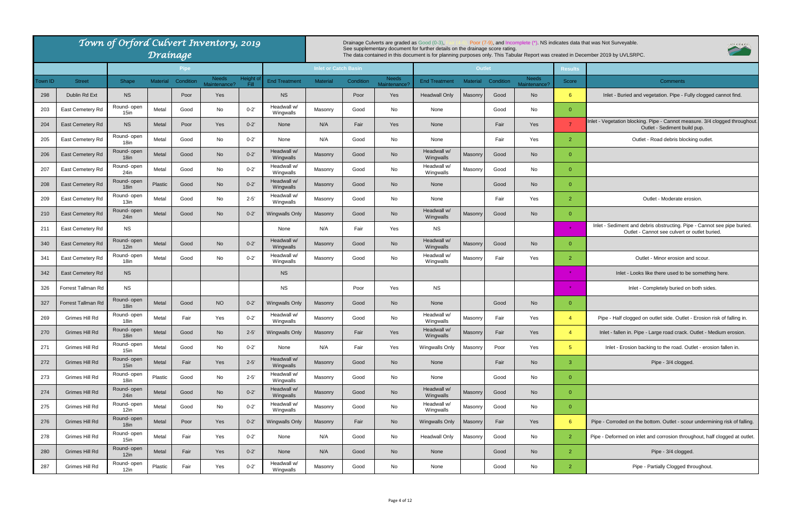Inlet - Vegetation blocking. Pipe - Cannot measure. 3/4 clogged throughout. Outlet - Sediment build pup.

Inlet - Sediment and debris obstructing. Pipe - Cannot see pipe buried. Outlet - Cannot see culvert or outlet buried.

Inlet - Looks like there used to be something here.

Pipe - Half clogged on outlet side. Outlet - Erosion risk of falling in.

Inlet - fallen in. Pipe - Large road crack. Outlet - Medium erosion.

Inlet - Erosion backing to the road. Outlet - erosion fallen in.

Pipe - Corroded on the bottom. Outlet - scour undermining risk of falling.

Pipe - Deformed on inlet and corrosion throughout, half clogged at outlet.

|         |                         | Town of Orford Culvert Inventory, 2019 | Drainage        |             |                              |                   |                          |                             |           | Drainage Culverts are graded as Good (0-3), | See supplementary document for further details on the drainage score rating. |                 |           |                              |                | Poor (7-9), and Incomplete (*) NS indicates data that was Not Surveyable.<br>The data contained in this document is for planning purposes only. This Tabular Report was created in December 2019 by UVLSRPC. |
|---------|-------------------------|----------------------------------------|-----------------|-------------|------------------------------|-------------------|--------------------------|-----------------------------|-----------|---------------------------------------------|------------------------------------------------------------------------------|-----------------|-----------|------------------------------|----------------|--------------------------------------------------------------------------------------------------------------------------------------------------------------------------------------------------------------|
|         |                         |                                        |                 | <b>Pipe</b> |                              |                   |                          | <b>Inlet or Catch Basin</b> |           |                                             |                                                                              | <b>Outlet</b>   |           |                              | <b>Results</b> |                                                                                                                                                                                                              |
| Town ID | <b>Street</b>           | Shape                                  | <b>Material</b> | Condition   | <b>Needs</b><br>Maintenance? | Height o<br>Fill. | <b>End Treatment</b>     | <b>Material</b>             | Condition | <b>Needs</b><br>Maintenance                 | <b>End Treatment</b>                                                         | <b>Material</b> | Condition | <b>Needs</b><br>Maintenance? | Score          | <b>Comments</b>                                                                                                                                                                                              |
| 298     | Dublin Rd Ext           | <b>NS</b>                              |                 | Poor        | Yes                          |                   | <b>NS</b>                |                             | Poor      | Yes                                         | <b>Headwall Only</b>                                                         | Masonry         | Good      | No                           | $6^{\circ}$    | Inlet - Buried and vegetation. Pipe - Fully clogged                                                                                                                                                          |
| 203     | East Cemetery Rd        | Round- open<br>$15$ in                 | Metal           | Good        | No                           | $0 - 2'$          | Headwall w/<br>Wingwalls | Masonry                     | Good      | No                                          | None                                                                         |                 | Good      | No                           | $\overline{0}$ |                                                                                                                                                                                                              |
| 204     | East Cemetery Rd        | <b>NS</b>                              | Metal           | Poor        | Yes                          | $0 - 2'$          | None                     | N/A                         | Fair      | <b>Yes</b>                                  | None                                                                         |                 | Fair      | Yes                          | $\overline{7}$ | Inlet - Vegetation blocking. Pipe - Cannot measure. 3/4 o<br>Outlet - Sediment build pup.                                                                                                                    |
| 205     | East Cemetery Rd        | Round- open<br>18 <sub>in</sub>        | Metal           | Good        | No                           | $0 - 2'$          | None                     | N/A                         | Good      | No                                          | None                                                                         |                 | Fair      | Yes                          | 2              | Outlet - Road debris blocking outlet.                                                                                                                                                                        |
| 206     | East Cemetery Rd        | Round-open<br>18in                     | <b>Metal</b>    | Good        | <b>No</b>                    | $0 - 2'$          | Headwall w/<br>Wingwalls | Masonry                     | Good      | <b>No</b>                                   | Headwall w/<br>Wingwalls                                                     | Masonry         | Good      | No                           | $\Omega$       |                                                                                                                                                                                                              |
| 207     | East Cemetery Rd        | Round- open<br>$24$ in                 | Metal           | Good        | No                           | $0 - 2'$          | Headwall w/<br>Wingwalls | Masonry                     | Good      | No                                          | Headwall w/<br>Wingwalls                                                     | Masonry         | Good      | No                           | $\mathbf{0}$   |                                                                                                                                                                                                              |
| 208     | East Cemetery Rd        | Round- open<br>18in                    | Plastic         | Good        | <b>No</b>                    | $0 - 2'$          | Headwall w/<br>Wingwalls | Masonry                     | Good      | <b>No</b>                                   | None                                                                         |                 | Good      | No                           | $\mathbf{0}$   |                                                                                                                                                                                                              |
| 209     | East Cemetery Rd        | Round- open<br>13in                    | Metal           | Good        | No                           | $2 - 5'$          | Headwall w/<br>Wingwalls | Masonry                     | Good      | No                                          | None                                                                         |                 | Fair      | Yes                          | 2              | Outlet - Moderate erosion.                                                                                                                                                                                   |
| 210     | East Cemetery Rd        | Round-open<br>24in                     | Metal           | Good        | <b>No</b>                    | $0 - 2'$          | <b>Wingwalls Only</b>    | Masonry                     | Good      | <b>No</b>                                   | Headwall w<br>Wingwalls                                                      | Masonry         | Good      | <b>No</b>                    | $\Omega$       |                                                                                                                                                                                                              |
| 211     | East Cemetery Rd        | <b>NS</b>                              |                 |             |                              |                   | None                     | N/A                         | Fair      | Yes                                         | <b>NS</b>                                                                    |                 |           |                              | $\star$        | Inlet - Sediment and debris obstructing. Pipe - Cannot<br>Outlet - Cannot see culvert or outlet buri                                                                                                         |
| 340     | East Cemetery Rd        | Round- open<br>12in                    | Metal           | Good        | <b>No</b>                    | $0 - 2'$          | Headwall w/<br>Wingwalls | Masonry                     | Good      | No                                          | Headwall w/<br>Wingwalls                                                     | Masonry         | Good      | No                           | $\mathbf{0}$   |                                                                                                                                                                                                              |
| 341     | East Cemetery Rd        | Round- open<br>18in                    | Metal           | Good        | No                           | $0 - 2'$          | Headwall w/<br>Wingwalls | Masonry                     | Good      | No                                          | Headwall w/<br>Wingwalls                                                     | Masonry         | Fair      | Yes                          | 2 <sup>2</sup> | Outlet - Minor erosion and scour.                                                                                                                                                                            |
| 342     | <b>East Cemetery Rd</b> | <b>NS</b>                              |                 |             |                              |                   | <b>NS</b>                |                             |           |                                             |                                                                              |                 |           |                              |                | Inlet - Looks like there used to be something                                                                                                                                                                |
| 326     | Forrest Tallman Rd      | <b>NS</b>                              |                 |             |                              |                   | <b>NS</b>                |                             | Poor      | Yes                                         | <b>NS</b>                                                                    |                 |           |                              |                | Inlet - Completely buried on both sides                                                                                                                                                                      |
| 327     | Forrest Tallman Rd      | Round- open<br>18 <sub>in</sub>        | Metal           | Good        | <b>NO</b>                    | $0 - 2'$          | <b>Wingwalls Only</b>    | Masonry                     | Good      | <b>No</b>                                   | None                                                                         |                 | Good      | No                           | $\mathbf{0}$   |                                                                                                                                                                                                              |
| 269     | Grimes Hill Rd          | Round- open<br>18in                    | Metal           | Fair        | Yes                          | $0 - 2'$          | Headwall w/<br>Wingwalls | Masonry                     | Good      | No                                          | Headwall w/<br>Wingwalls                                                     | Masonry         | Fair      | Yes                          | $\overline{4}$ | Pipe - Half clogged on outlet side. Outlet - Erosion r                                                                                                                                                       |
| 270     | Grimes Hill Rd          | Round- open<br>18in                    | Metal           | Good        | <b>No</b>                    | $2 - 5'$          | <b>Wingwalls Only</b>    | Masonry                     | Fair      | Yes                                         | Headwall w/<br>Wingwalls                                                     | Masonry         | Fair      | Yes                          | $\overline{4}$ | Inlet - fallen in. Pipe - Large road crack. Outlet - Me                                                                                                                                                      |
| 271     | Grimes Hill Rd          | Round- open<br>15in                    | Metal           | Good        | No                           | $0 - 2'$          | None                     | N/A                         | Fair      | Yes                                         | Wingwalls Only                                                               | Masonry         | Poor      | Yes                          | 5 <sup>1</sup> | Inlet - Erosion backing to the road. Outlet - erosi                                                                                                                                                          |
| 272     | Grimes Hill Rd          | Round- open<br>$15$ in                 | Metal           | Fair        | Yes                          | $2 - 5'$          | Headwall w/<br>Wingwalls | Masonry                     | Good      | No                                          | None                                                                         |                 | Fair      | No                           | 3 <sup>°</sup> | Pipe - 3/4 clogged.                                                                                                                                                                                          |
| 273     | Grimes Hill Rd          | Round- open<br>18in                    | Plastic         | Good        | No                           | $2 - 5'$          | Headwall w/<br>Wingwalls | Masonry                     | Good      | No                                          | None                                                                         |                 | Good      | No                           | $\overline{0}$ |                                                                                                                                                                                                              |
| 274     | Grimes Hill Rd          | Round- open<br>24in                    | Metal           | Good        | <b>No</b>                    | $0 - 2'$          | Headwall w/<br>Wingwalls | Masonry                     | Good      | No                                          | Headwall w/<br>Wingwalls                                                     | Masonry         | Good      | No                           | $\overline{0}$ |                                                                                                                                                                                                              |
| 275     | Grimes Hill Rd          | Round- open<br>12in                    | Metal           | Good        | No                           | $0 - 2'$          | Headwall w/<br>Wingwalls | Masonry                     | Good      | No                                          | Headwall w/<br>Wingwalls                                                     | Masonry         | Good      | No                           | $\overline{0}$ |                                                                                                                                                                                                              |
| 276     | Grimes Hill Rd          | Round- open<br>18in                    | Metal           | Poor        | Yes                          | $0 - 2'$          | <b>Wingwalls Only</b>    | Masonry                     | Fair      | No                                          | <b>Wingwalls Only</b>                                                        | Masonry         | Fair      | Yes                          | $6^{\circ}$    | Pipe - Corroded on the bottom. Outlet - scour undermir                                                                                                                                                       |
| 278     | Grimes Hill Rd          | Round- open<br>15in                    | Metal           | Fair        | Yes                          | $0 - 2'$          | None                     | N/A                         | Good      | No                                          | <b>Headwall Only</b>                                                         | Masonry         | Good      | No                           | $\overline{2}$ | Pipe - Deformed on inlet and corrosion throughout, half                                                                                                                                                      |
| 280     | Grimes Hill Rd          | Round- open<br>12in                    | Metal           | Fair        | Yes                          | $0 - 2'$          | None                     | N/A                         | Good      | No                                          | None                                                                         |                 | Good      | <b>No</b>                    | 2 <sup>1</sup> | Pipe - 3/4 clogged.                                                                                                                                                                                          |
| 287     | Grimes Hill Rd          | Round- open<br>12in                    | Plastic         | Fair        | Yes                          | $0 - 2'$          | Headwall w/<br>Wingwalls | Masonry                     | Good      | No                                          | None                                                                         |                 | Good      | No                           | $\overline{2}$ | Pipe - Partially Clogged throughout.                                                                                                                                                                         |
|         |                         |                                        |                 |             |                              |                   |                          |                             |           |                                             |                                                                              |                 |           |                              |                |                                                                                                                                                                                                              |



UVLSRPC,

Inlet - Buried and vegetation. Pipe - Fully clogged cannot find.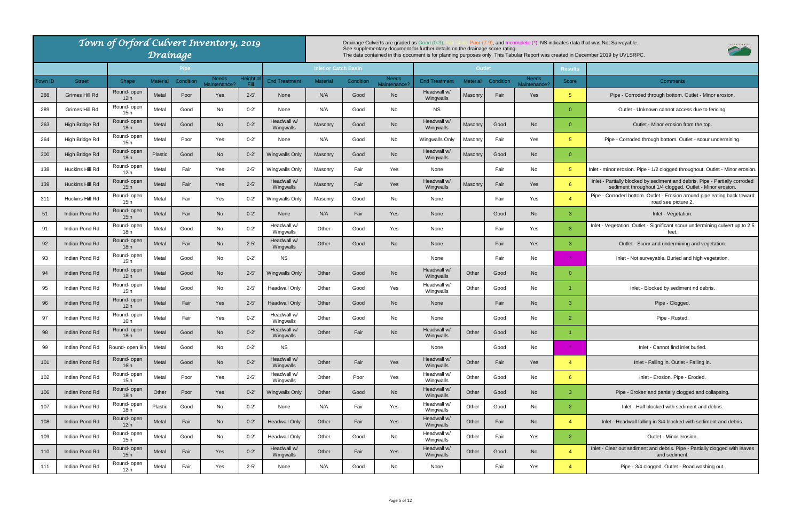Pipe - Corroded bottom. Outlet - Erosion around pipe eating back toward road see picture 2.

Inlet - Vegetation. Outlet - Significant scour undermining culvert up to 2.5 feet.

Outlet - Scour and undermining and vegetation.

Inlet - Not surveyable. Buried and high vegetation.

Inlet - Blocked by sediment nd debris.

Inlet - Falling in. Outlet - Falling in.

Pipe - Broken and partially clogged and collapsing.

Inlet - Half blocked with sediment and debris.

Inlet - Headwall falling in 3/4 blocked with sediment and debris.

Inlet - Clear out sediment and debris. Pipe - Partially clogged with leaves and sediment.

Pipe - 3/4 clogged. Outlet - Road washing out.

|                |                                 | Town of Orford Culvert Inventory, 2019 |                          | Drainage    |              |                  |                              |                             |           | Drainage Culverts are graded as Good (0-3), | See supplementary document for further details on the drainage score rating. |                 |                   |                                 |                         | Poor (7-9), and Incomplete (*). NS indicates data that was Not Surveyable.<br>The data contained in this document is for planning purposes only. This Tabular Report was created in December 2019 by UVLSRPC. |
|----------------|---------------------------------|----------------------------------------|--------------------------|-------------|--------------|------------------|------------------------------|-----------------------------|-----------|---------------------------------------------|------------------------------------------------------------------------------|-----------------|-------------------|---------------------------------|-------------------------|---------------------------------------------------------------------------------------------------------------------------------------------------------------------------------------------------------------|
|                |                                 |                                        |                          | <b>Pipe</b> | Needs        | Height o         |                              | <b>Inlet or Catch Basin</b> |           | <b>Needs</b>                                |                                                                              | <b>Outlet</b>   |                   | <b>Needs</b>                    | <b>Results</b>          |                                                                                                                                                                                                               |
| Town ID<br>288 | <b>Street</b><br>Grimes Hill Rd | Shape<br>Round- open                   | <b>Material</b><br>Metal | Condition   | Maintenance? | Fill<br>$2 - 5'$ | <b>End Treatment</b><br>None | <b>Material</b><br>N/A      | Condition | Maintenance?                                | <b>End Treatment</b><br>Headwall w/                                          | <b>Material</b> | Condition<br>Fair | Maintenance <sup>®</sup><br>Yes | Score<br>5 <sup>5</sup> | <b>Comments</b>                                                                                                                                                                                               |
|                |                                 | 12in<br>Round- open                    |                          | Poor        | Yes          |                  |                              |                             | Good      | No                                          | Wingwalls                                                                    | Masonry         |                   |                                 |                         | Pipe - Corroded through bottom. Outlet - M                                                                                                                                                                    |
| 289            | Grimes Hill Rd                  | 15in                                   | Metal                    | Good        | No           | $0 - 2'$         | None                         | N/A                         | Good      | No                                          | <b>NS</b>                                                                    |                 |                   |                                 | $\Omega$                | Outlet - Unknown cannot access due to                                                                                                                                                                         |
| 263            | High Bridge Rd                  | Round- open<br>18 <sub>in</sub>        | Metal                    | Good        | <b>No</b>    | $0 - 2'$         | Headwall w/<br>Wingwalls     | Masonry                     | Good      | <b>No</b>                                   | Headwall w/<br>Wingwalls                                                     | Masonry         | Good              | <b>No</b>                       | $\overline{0}$          | Outlet - Minor erosion from the to                                                                                                                                                                            |
| 264            | High Bridge Rd                  | Round- open<br>$15$ in                 | Metal                    | Poor        | Yes          | $0 - 2'$         | None                         | N/A                         | Good      | No                                          | Wingwalls Only                                                               | Masonry         | Fair              | Yes                             | 5 <sup>5</sup>          | Pipe - Corroded through bottom. Outlet - scou                                                                                                                                                                 |
| 300            | High Bridge Rd                  | Round-open<br>18 <sub>in</sub>         | Plastic                  | Good        | <b>No</b>    | $0 - 2'$         | Wingwalls Only               | Masonry                     | Good      | <b>No</b>                                   | Headwall w/<br>Wingwalls                                                     | Masonry         | Good              | <b>No</b>                       | $\overline{0}$          |                                                                                                                                                                                                               |
| 138            | Huckins Hill Rd                 | Round- open<br>$12$ in                 | Metal                    | Fair        | Yes          | $2 - 5'$         | <b>Wingwalls Only</b>        | Masonry                     | Fair      | Yes                                         | None                                                                         |                 | Fair              | No                              | 5 <sup>5</sup>          | Inlet - minor erosion. Pipe - 1/2 clogged throughout. (                                                                                                                                                       |
| 139            | Huckins Hill Rd                 | Round- open<br>15 <sub>in</sub>        | Metal                    | Fair        | Yes          | $2 - 5'$         | Headwall w/<br>Wingwalls     | <b>Masonry</b>              | Fair      | Yes                                         | Headwall w/<br>Wingwalls                                                     | Masonry         | Fair              | Yes                             | 6                       | Inlet - Partially blocked by sediment and debris. Pip<br>sediment throughout 1/4 clogged. Outlet - M                                                                                                          |
| 311            | Huckins Hill Rd                 | Round- open<br>$15$ in                 | Metal                    | Fair        | Yes          | $0 - 2'$         | <b>Wingwalls Only</b>        | Masonry                     | Good      | No                                          | None                                                                         |                 | Fair              | Yes                             | $\overline{4}$          | Pipe - Corroded bottom. Outlet - Erosion around pip<br>road see picture 2.                                                                                                                                    |
| 51             | Indian Pond Rd                  | Round- open<br>15 <sub>in</sub>        | Metal                    | Fair        | <b>No</b>    | $0 - 2'$         | None                         | N/A                         | Fair      | Yes                                         | None                                                                         |                 | Good              | <b>No</b>                       | -3                      | Inlet - Vegetation.                                                                                                                                                                                           |
| 91             | Indian Pond Rd                  | Round- open<br>18in                    | Metal                    | Good        | No           | $0 - 2'$         | Headwall w/<br>Wingwalls     | Other                       | Good      | Yes                                         | None                                                                         |                 | Fair              | Yes                             | 3                       | Inlet - Vegetation. Outlet - Significant scour undermi<br>feet.                                                                                                                                               |
| 92             | Indian Pond Rd                  | Round- open<br>18 <sub>in</sub>        | Metal                    | Fair        | <b>No</b>    | $2 - 5'$         | Headwall w/<br>Wingwalls     | Other                       | Good      | <b>No</b>                                   | None                                                                         |                 | Fair              | Yes                             | 3                       | Outlet - Scour and undermining and ve                                                                                                                                                                         |
| 93             | Indian Pond Rd                  | Round- open<br>15in                    | Metal                    | Good        | No           | $0 - 2'$         | <b>NS</b>                    |                             |           |                                             | None                                                                         |                 | Fair              | No                              | $\star$                 | Inlet - Not surveyable. Buried and high ve                                                                                                                                                                    |
| 94             | Indian Pond Rd                  | Round- open<br>12in                    | Metal                    | Good        | <b>No</b>    | $2 - 5'$         | Wingwalls Only               | Other                       | Good      | <b>No</b>                                   | Headwall w/<br>Wingwalls                                                     | Other           | Good              | <b>No</b>                       | $\Omega$                |                                                                                                                                                                                                               |
| 95             | Indian Pond Rd                  | Round- open<br>$15$ in                 | Metal                    | Good        | No           | $2 - 5'$         | <b>Headwall Only</b>         | Other                       | Good      | Yes                                         | Headwall w/<br>Wingwalls                                                     | Other           | Good              | No                              |                         | Inlet - Blocked by sediment nd deb                                                                                                                                                                            |
| 96             | Indian Pond Rd                  | Round- open<br>12in                    | Metal                    | Fair        | Yes          | $2 - 5'$         | <b>Headwall Only</b>         | Other                       | Good      | <b>No</b>                                   | None                                                                         |                 | Fair              | <b>No</b>                       | -3                      | Pipe - Clogged.                                                                                                                                                                                               |
| 97             | Indian Pond Rd                  | Round- open<br>16in                    | Metal                    | Fair        | Yes          | $0 - 2'$         | Headwall w/<br>Wingwalls     | Other                       | Good      | No                                          | None                                                                         |                 | Good              | No                              | $\overline{2}$          | Pipe - Rusted.                                                                                                                                                                                                |
| 98             | Indian Pond Rd                  | Round- open<br>18in                    | Metal                    | Good        | <b>No</b>    | $0 - 2'$         | Headwall w/<br>Wingwalls     | Other                       | Fair      | <b>No</b>                                   | Headwall w/<br>Wingwalls                                                     | Other           | Good              | <b>No</b>                       | $\overline{1}$          |                                                                                                                                                                                                               |
| 99             | Indian Pond Rd                  | Round- open 9in                        | Metal                    | Good        | No           | $0 - 2'$         | <b>NS</b>                    |                             |           |                                             | None                                                                         |                 | Good              | No                              |                         | Inlet - Cannot find inlet buried.                                                                                                                                                                             |
| 101            | Indian Pond Rd                  | Round- open<br>16 <sub>in</sub>        | Metal                    | Good        | No           | $0 - 2'$         | Headwall w/<br>Wingwalls     | Other                       | Fair      | Yes                                         | Headwall w/<br>Wingwalls                                                     | Other           | Fair              | Yes                             | $\overline{4}$          | Inlet - Falling in. Outlet - Falling in                                                                                                                                                                       |
| 102            | Indian Pond Rd                  | Round- open<br>$15$ in                 | Metal                    | Poor        | Yes          | $2 - 5'$         | Headwall w/<br>Wingwalls     | Other                       | Poor      | Yes                                         | Headwall w/<br>Wingwalls                                                     | Other           | Good              | No                              | $6^{\circ}$             | Inlet - Erosion. Pipe - Eroded.                                                                                                                                                                               |
| 106            | Indian Pond Rd                  | Round- open<br>18 <sub>in</sub>        | Other                    | Poor        | Yes          | $0 - 2'$         | Wingwalls Only               | Other                       | Good      | <b>No</b>                                   | Headwall w/<br>Wingwalls                                                     | Other           | Good              | <b>No</b>                       | 3                       | Pipe - Broken and partially clogged and o                                                                                                                                                                     |
| 107            | Indian Pond Rd                  | Round- open<br>18in                    | Plastic                  | Good        | No           | $0 - 2'$         | None                         | N/A                         | Fair      | Yes                                         | Headwall w/<br>Wingwalls                                                     | Other           | Good              | No                              | $\overline{2}$          | Inlet - Half blocked with sediment and                                                                                                                                                                        |
| 108            | Indian Pond Rd                  | Round- open<br>12in                    | Metal                    | Fair        | <b>No</b>    | $0 - 2'$         | <b>Headwall Only</b>         | Other                       | Fair      | Yes                                         | Headwall w/<br>Wingwalls                                                     | Other           | Fair              | <b>No</b>                       | $\overline{4}$          | Inlet - Headwall falling in 3/4 blocked with sedin                                                                                                                                                            |
| 109            | Indian Pond Rd                  | Round- open<br>$15$ in                 | Metal                    | Good        | No           | $0 - 2'$         | <b>Headwall Only</b>         | Other                       | Good      | No                                          | Headwall w/<br>Wingwalls                                                     | Other           | Fair              | Yes                             | $\overline{2}$          | Outlet - Minor erosion.                                                                                                                                                                                       |
| 110            | Indian Pond Rd                  | Round- open<br>15 <sub>in</sub>        | Metal                    | Fair        | Yes          | $0 - 2'$         | Headwall w/<br>Wingwalls     | Other                       | Fair      | Yes                                         | Headwall w/<br>Wingwalls                                                     | Other           | Good              | <b>No</b>                       | $\overline{4}$          | Inlet - Clear out sediment and debris. Pipe - Partially<br>and sediment.                                                                                                                                      |
| 111            | Indian Pond Rd                  | Round- open<br>12in                    | Metal                    | Fair        | Yes          | $2 - 5'$         | None                         | N/A                         | Good      | No                                          | None                                                                         |                 | Fair              | Yes                             | $\overline{4}$          | Pipe - 3/4 clogged. Outlet - Road wash                                                                                                                                                                        |



Pipe - Corroded through bottom. Outlet - Minor erosion.

Outlet - Unknown cannot access due to fencing.

Outlet - Minor erosion from the top.

Pipe - Corroded through bottom. Outlet - scour undermining.

Inlet - minor erosion. Pipe - 1/2 clogged throughout. Outlet - Minor erosion.

Inlet - Partially blocked by sediment and debris. Pipe - Partially corroded sediment throughout 1/4 clogged. Outlet - Minor erosion.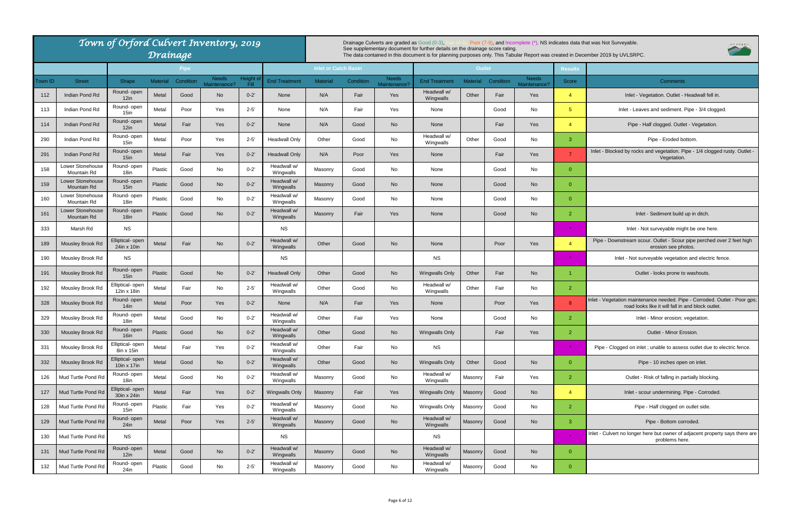Inlet - Blocked by rocks and vegetation. Pipe - 1/4 clogged rusty. Outlet -Vegetation.

Inlet - Not surveyable might be one here.

Pipe - Downstream scour. Outlet - Scour pipe perched over 2 feet high erosion see photos.

Inlet - Not surveyable vegetation and electric fence.

|         |                                        | Town of Orford Culvert Inventory, 2019 | Drainage        |             |                              |                  |                          |                             |           | Drainage Culverts are graded as Good (0-3), | See supplementary document for further details on the drainage score rating. |                 |           |                              |                | Poor (7-9), and Incomplete (*). NS indicates data that was Not Surveyable.<br>The data contained in this document is for planning purposes only. This Tabular Report was created in December 2019 by UVLSRPC. |
|---------|----------------------------------------|----------------------------------------|-----------------|-------------|------------------------------|------------------|--------------------------|-----------------------------|-----------|---------------------------------------------|------------------------------------------------------------------------------|-----------------|-----------|------------------------------|----------------|---------------------------------------------------------------------------------------------------------------------------------------------------------------------------------------------------------------|
|         |                                        |                                        |                 | <b>Pipe</b> |                              |                  |                          | <b>Inlet or Catch Basin</b> |           |                                             |                                                                              | <b>Outlet</b>   |           |                              | <b>Results</b> |                                                                                                                                                                                                               |
| Town ID | <b>Street</b>                          | Shape                                  | <b>Material</b> | Condition   | <b>Needs</b><br>Maintenance? | Height c<br>Fill | <b>End Treatment</b>     | <b>Material</b>             | Condition | <b>Needs</b><br>Maintenance?                | <b>End Treatment</b>                                                         | <b>Material</b> | Condition | <b>Needs</b><br>Maintenance? | <b>Score</b>   | <b>Comments</b>                                                                                                                                                                                               |
| 112     | Indian Pond Rd                         | Round- open<br>12in                    | Metal           | Good        | No                           | $0 - 2'$         | None                     | N/A                         | Fair      | Yes                                         | Headwall w/<br>Wingwalls                                                     | Other           | Fair      | Yes                          | $\overline{4}$ | Inlet - Vegetation. Outlet - Headwall fe                                                                                                                                                                      |
| 113     | Indian Pond Rd                         | Round- open<br>15in                    | Metal           | Poor        | Yes                          | $2 - 5'$         | None                     | N/A                         | Fair      | Yes                                         | None                                                                         |                 | Good      | No.                          | 5 <sup>5</sup> | Inlet - Leaves and sediment. Pipe - 3/4 cl                                                                                                                                                                    |
| 114     | Indian Pond Rd                         | Round- open<br>12in                    | Metal           | Fair        | Yes                          | $0 - 2'$         | None                     | N/A                         | Good      | <b>No</b>                                   | None                                                                         |                 | Fair      | Yes                          | $\overline{4}$ | Pipe - Half clogged. Outlet - Vegetati                                                                                                                                                                        |
| 290     | Indian Pond Rd                         | Round- open<br>15in                    | Metal           | Poor        | Yes                          | $2 - 5'$         | <b>Headwall Only</b>     | Other                       | Good      | No                                          | Headwall w/<br>Wingwalls                                                     | Other           | Good      | No                           | $\mathbf{3}$   | Pipe - Eroded bottom.                                                                                                                                                                                         |
| 291     | Indian Pond Rd                         | Round- open<br>15in                    | Metal           | Fair        | Yes                          | $0 - 2'$         | <b>Headwall Only</b>     | N/A                         | Poor      | Yes                                         | None                                                                         |                 | Fair      | Yes                          | $\overline{7}$ | Inlet - Blocked by rocks and vegetation. Pipe - 1/4 clo<br>Vegetation.                                                                                                                                        |
| 158     | Lower Stonehouse<br>Mountain Rd        | Round- open<br>18in                    | Plastic         | Good        | No                           | $0 - 2'$         | Headwall w/<br>Wingwalls | Masonry                     | Good      | No                                          | None                                                                         |                 | Good      | No                           | $\overline{0}$ |                                                                                                                                                                                                               |
| 159     | <b>Lower Stonehouse</b><br>Mountain Rd | Round- open<br>$15$ in                 | Plastic         | Good        | <b>No</b>                    | $0 - 2'$         | Headwall w/<br>Wingwalls | Masonry                     | Good      | <b>No</b>                                   | None                                                                         |                 | Good      | <b>No</b>                    | $\overline{0}$ |                                                                                                                                                                                                               |
| 160     | Lower Stonehouse<br>Mountain Rd        | Round- open<br>18in                    | Plastic         | Good        | No                           | $0 - 2'$         | Headwall w/<br>Wingwalls | Masonry                     | Good      | No                                          | None                                                                         |                 | Good      | No                           | $\Omega$       |                                                                                                                                                                                                               |
| 161     | Lower Stonehouse<br>Mountain Rd        | Round- open<br>18 <sub>in</sub>        | Plastic         | Good        | <b>No</b>                    | $0 - 2'$         | Headwall w/<br>Wingwalls | Masonry                     | Fair      | Yes                                         | None                                                                         |                 | Good      | <b>No</b>                    | $\overline{2}$ | Inlet - Sediment build up in ditch.                                                                                                                                                                           |
| 333     | Marsh Rd                               | <b>NS</b>                              |                 |             |                              |                  | <b>NS</b>                |                             |           |                                             |                                                                              |                 |           |                              | $\star$        | Inlet - Not surveyable might be one he                                                                                                                                                                        |
| 189     | Mousley Brook Rd                       | Elliptical- open<br>24in x 10in        | Metal           | Fair        | <b>No</b>                    | $0 - 2'$         | Headwall w/<br>Wingwalls | Other                       | Good      | <b>No</b>                                   | None                                                                         |                 | Poor      | Yes                          | $\overline{4}$ | Pipe - Downstream scour. Outlet - Scour pipe perche<br>erosion see photos.                                                                                                                                    |
| 190     | Mousley Brook Rd                       | <b>NS</b>                              |                 |             |                              |                  | <b>NS</b>                |                             |           |                                             | <b>NS</b>                                                                    |                 |           |                              |                | Inlet - Not surveyable vegetation and electi                                                                                                                                                                  |
| 191     | Mousley Brook Rd                       | Round- open<br>15 <sub>in</sub>        | Plastic         | Good        | <b>No</b>                    | $0 - 2'$         | <b>Headwall Only</b>     | Other                       | Good      | <b>No</b>                                   | <b>Wingwalls Only</b>                                                        | Other           | Fair      | <b>No</b>                    |                | Outlet - looks prone to washouts.                                                                                                                                                                             |
| 192     | Mousley Brook Rd                       | Elliptical- open<br>12in x 18in        | Metal           | Fair        | No                           | $2 - 5'$         | Headwall w/<br>Wingwalls | Other                       | Good      | No                                          | Headwall w/<br>Wingwalls                                                     | Other           | Fair      | No                           | $\overline{2}$ |                                                                                                                                                                                                               |
| 328     | Mousley Brook Rd                       | Round- open<br>$14$ in                 | Metal           | Poor        | Yes                          | $0 - 2'$         | None                     | N/A                         | Fair      | Yes                                         | None                                                                         |                 | Poor      | Yes                          | 8              | Inlet - Vegetation maintenance needed. Pipe - Corrode<br>road looks like it will fall in and block or                                                                                                         |
| 329     | Mousley Brook Rd                       | Round- open<br>18in                    | Metal           | Good        | No                           | $0 - 2'$         | Headwall w/<br>Wingwalls | Other                       | Fair      | Yes                                         | None                                                                         |                 | Good      | No                           | $\overline{2}$ | Inlet - Minor erosion; vegetation.                                                                                                                                                                            |
| 330     | Mousley Brook Rd                       | Round- open<br>16 <sub>in</sub>        | Plastic         | Good        | <b>No</b>                    | $0 - 2'$         | Headwall w/<br>Wingwalls | Other                       | Good      | No                                          | <b>Wingwalls Only</b>                                                        |                 | Fair      | Yes                          | $\overline{2}$ | Outlet - Minor Erosion.                                                                                                                                                                                       |
| 331     | Mousley Brook Rd                       | Elliptical- open<br>8in x 15in         | Metal           | Fair        | Yes                          | $0 - 2'$         | Headwall w/<br>Wingwalls | Other                       | Fair      | No                                          | <b>NS</b>                                                                    |                 |           |                              |                | Pipe - Clogged on inlet ; unable to assess outlet due                                                                                                                                                         |
| 332     | Mousley Brook Rd                       | Elliptical- open<br>10in x 17in        | Metal           | Good        | No                           | $0 - 2'$         | Headwall w/<br>Wingwalls | Other                       | Good      | No                                          | Wingwalls Only                                                               | Other           | Good      | <b>No</b>                    | $\overline{0}$ | Pipe - 10 inches open on inlet.                                                                                                                                                                               |
| 126     | Mud Turtle Pond Rd                     | Round- open<br>18in                    | Metal           | Good        | No                           | $0 - 2'$         | Headwall w/<br>Wingwalls | Masonry                     | Good      | No                                          | Headwall w/<br>Wingwalls                                                     | Masonry         | Fair      | Yes                          | $\overline{2}$ | Outlet - Risk of falling in partially block                                                                                                                                                                   |
| 127     | Mud Turtle Pond Rd                     | Elliptical- open<br>30in x 24in        | Metal           | Fair        | Yes                          | $0 - 2'$         | <b>Wingwalls Only</b>    | Masonry                     | Fair      | Yes                                         | Wingwalls Only                                                               | Masonry         | Good      | <b>No</b>                    | $\overline{4}$ | Inlet - scour undermining. Pipe - Corro                                                                                                                                                                       |
| 128     | Mud Turtle Pond Rd                     | Round- open<br>15in                    | Plastic         | Fair        | Yes                          | $0 - 2'$         | Headwall w/<br>Wingwalls | Masonry                     | Good      | No                                          | Wingwalls Only                                                               | Masonry         | Good      | No                           | $\overline{2}$ | Pipe - Half clogged on outlet side.                                                                                                                                                                           |
| 129     | Mud Turtle Pond Rd                     | Round- open<br>24in                    | Metal           | Poor        | Yes                          | $2 - 5'$         | Headwall w/<br>Wingwalls | Masonry                     | Good      | <b>No</b>                                   | Headwall w/<br>Wingwalls                                                     | Masonry         | Good      | <b>No</b>                    | $\mathbf{3}$   | Pipe - Bottom corroded.                                                                                                                                                                                       |
| 130     | Mud Turtle Pond Rd                     | <b>NS</b>                              |                 |             |                              |                  | <b>NS</b>                |                             |           |                                             | <b>NS</b>                                                                    |                 |           |                              | $\star$        | Inlet - Culvert no longer here but owner of adjacent pro<br>problems here.                                                                                                                                    |
| 131     | Mud Turtle Pond Rd                     | Round- open<br>$12$ in                 | Metal           | Good        | <b>No</b>                    | $0 - 2'$         | Headwall w/<br>Wingwalls | Masonry                     | Good      | <b>No</b>                                   | Headwall w/<br>Wingwalls                                                     | Masonry         | Good      | <b>No</b>                    | $\overline{0}$ |                                                                                                                                                                                                               |
| 132     | Mud Turtle Pond Rd                     | Round- open<br>24in                    | Plastic         | Good        | No                           | $2 - 5'$         | Headwall w/<br>Wingwalls | Masonry                     | Good      | No                                          | Headwall w/<br>Wingwalls                                                     | Masonry         | Good      | No                           | $\overline{0}$ |                                                                                                                                                                                                               |

Inlet - Vegetation maintenance needed. Pipe - Corroded. Outlet - Poor gps; road looks like it will fall in and block outlet.

Pipe - Clogged on inlet ; unable to assess outlet due to electric fence.

Outlet - Risk of falling in partially blocking.

Inlet - scour undermining. Pipe - Corroded.

Inlet - Culvert no longer here but owner of adjacent property says there are problems here.



Inlet - Vegetation. Outlet - Headwall fell in.

Inlet - Leaves and sediment. Pipe - 3/4 clogged.

Pipe - Half clogged. Outlet - Vegetation.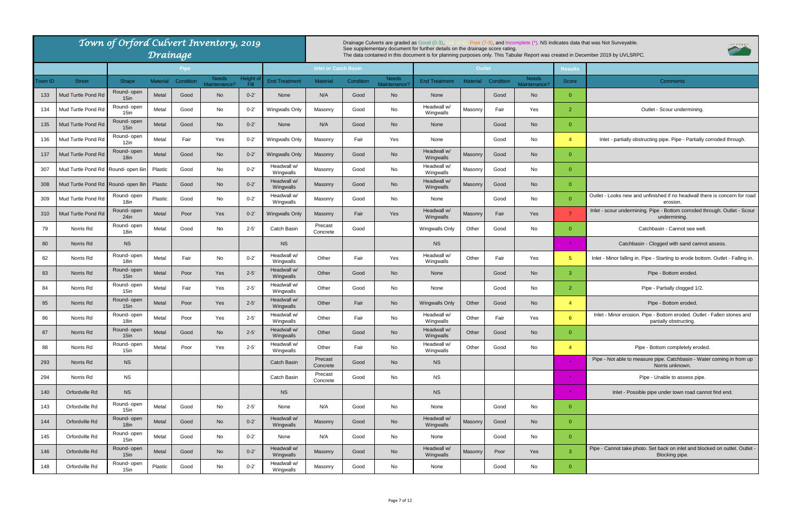| od (0-3),<br>ther details on the drainage score rating. |                 |           |                              |                | Poor (7-9), and Incomplete (*). NS indicates data that was Not Surveyable.<br>VLSRPC<br>is for planning purposes only. This Tabular Report was created in December 2019 by UVLSRPC. |
|---------------------------------------------------------|-----------------|-----------|------------------------------|----------------|-------------------------------------------------------------------------------------------------------------------------------------------------------------------------------------|
|                                                         | <b>Outlet</b>   |           |                              | <b>Results</b> |                                                                                                                                                                                     |
| d Treatment                                             | <b>Material</b> | Condition | <b>Needs</b><br>Maintenance? | <b>Score</b>   | Comments                                                                                                                                                                            |
| None                                                    |                 | Good      | <b>No</b>                    | 0              |                                                                                                                                                                                     |
| leadwall w/<br>Wingwalls                                | Masonry         | Fair      | Yes                          | $\overline{2}$ | Outlet - Scour undermining.                                                                                                                                                         |
| None                                                    |                 | Good      | <b>No</b>                    | 0              |                                                                                                                                                                                     |
| None                                                    |                 | Good      | No                           | 4              | Inlet - partially obstructing pipe. Pipe - Partially corroded through.                                                                                                              |
| leadwall w/<br>Wingwalls                                | Masonry         | Good      | No                           | 0              |                                                                                                                                                                                     |
| leadwall w/<br>Wingwalls                                | Masonry         | Good      | No                           | 0              |                                                                                                                                                                                     |
| leadwall w/<br>Wingwalls                                | Masonry         | Good      | No                           | 0              |                                                                                                                                                                                     |
| None                                                    |                 | Good      | No                           | 0              | Outlet - Looks new and unfinished if no headwall there is concern for road<br>erosion.                                                                                              |
| leadwall w/<br>Wingwalls                                | Masonry         | Fair      | Yes                          | $\overline{7}$ | Inlet - scour undermining. Pipe - Bottom corroded through. Outlet - Scour<br>undermining.                                                                                           |
| ngwalls Only                                            | Other           | Good      | No                           | 0              | Catchbasin - Cannot see well.                                                                                                                                                       |
| <b>NS</b>                                               |                 |           |                              | $\star$        | Catchbasin - Clogged with sand cannot assess.                                                                                                                                       |
| leadwall w/<br>Wingwalls                                | Other           | Fair      | Yes                          | 5              | Inlet - Minor falling in. Pipe - Starting to erode bottom. Outlet - Falling in.                                                                                                     |
| None                                                    |                 | Good      | <b>No</b>                    | 3              | Pipe - Bottom eroded.                                                                                                                                                               |
| None                                                    |                 | Good      | No                           | 2              | Pipe - Partially clogged 1/2.                                                                                                                                                       |
| ngwalls Only                                            | Other           | Good      | No                           | 4              | Pipe - Bottom eroded.                                                                                                                                                               |
| leadwall w/<br>Wingwalls                                | Other           | Fair      | Yes                          | 6              | Inlet - Minor erosion. Pipe - Bottom eroded. Outlet - Fallen stones and<br>partially obstructing.                                                                                   |
| leadwall w/<br>Wingwalls                                | Other           | Good      | No                           | 0              |                                                                                                                                                                                     |
| leadwall w/<br>Wingwalls                                | Other           | Good      | No                           | 4              | Pipe - Bottom completely eroded.                                                                                                                                                    |
| <b>NS</b>                                               |                 |           |                              |                | Pipe - Not able to measure pipe. Catchbasin - Water coming in from up<br>Norris unknown.                                                                                            |
| <b>NS</b>                                               |                 |           |                              |                | Pipe - Unable to assess pipe.                                                                                                                                                       |
| <b>NS</b>                                               |                 |           |                              |                | Inlet - Possible pipe under town road cannot find end.                                                                                                                              |
| None                                                    |                 | Good      | No                           | 0              |                                                                                                                                                                                     |
| leadwall w/<br>Wingwalls                                | Masonry         | Good      | No                           | 0              |                                                                                                                                                                                     |
| None                                                    |                 | Good      | No                           | 0              |                                                                                                                                                                                     |
| leadwall w/<br>Wingwalls                                | Masonry         | Poor      | Yes                          | 3              | Pipe - Cannot take photo. Set back on inlet and blocked on outlet. Outlet -<br>Blocking pipe.                                                                                       |
| None                                                    |                 | Good      | No                           | 0              |                                                                                                                                                                                     |
|                                                         |                 |           |                              |                |                                                                                                                                                                                     |

|                |                                    | Town of Orford Culvert Inventory, 2019 |                 | Draínage    |                              |                   |                          |                             |           | Drainage Culverts are graded as Good (0-3), | See supplementary document for further details on the drainage score rating. |               |           |                              |                 | Poor (7-9), and Incomplete (*). NS indicates data that was Not Surveyable.<br>The data contained in this document is for planning purposes only. This Tabular Report was created in December 2019 by UVLSRPC. |
|----------------|------------------------------------|----------------------------------------|-----------------|-------------|------------------------------|-------------------|--------------------------|-----------------------------|-----------|---------------------------------------------|------------------------------------------------------------------------------|---------------|-----------|------------------------------|-----------------|---------------------------------------------------------------------------------------------------------------------------------------------------------------------------------------------------------------|
|                |                                    |                                        |                 | <b>Pipe</b> |                              |                   |                          | <b>Inlet or Catch Basin</b> |           |                                             |                                                                              | <b>Outlet</b> |           |                              | <b>Results</b>  |                                                                                                                                                                                                               |
| <b>Town ID</b> | <b>Street</b>                      | Shape                                  | <b>Material</b> | Condition   | <b>Needs</b><br>Maintenance? | Height of<br>Fill | <b>End Treatment</b>     | <b>Material</b>             | Condition | <b>Needs</b><br>Maintenance                 | <b>End Treatment</b>                                                         | Material      | Condition | <b>Needs</b><br>Maintenance? | Score           | <b>Comments</b>                                                                                                                                                                                               |
| 133            | Mud Turtle Pond Rd                 | Round- open<br>$15$ in                 | Metal           | Good        | No                           | $0 - 2'$          | None                     | N/A                         | Good      | No                                          | None                                                                         |               | Good      | <b>No</b>                    | $\overline{0}$  |                                                                                                                                                                                                               |
| 134            | Mud Turtle Pond Rd                 | Round- open<br>15in                    | Metal           | Good        | No                           | $0 - 2'$          | <b>Wingwalls Only</b>    | Masonry                     | Good      | No                                          | Headwall w/<br>Wingwalls                                                     | Masonry       | Fair      | Yes                          | $\overline{2}$  | Outlet - Scour undermining.                                                                                                                                                                                   |
| 135            | Mud Turtle Pond Rd                 | Round- open<br>$15$ in                 | Metal           | Good        | <b>No</b>                    | $0 - 2'$          | None                     | N/A                         | Good      | <b>No</b>                                   | None                                                                         |               | Good      | <b>No</b>                    | $\overline{0}$  |                                                                                                                                                                                                               |
| 136            | Mud Turtle Pond Rd                 | Round- open<br>$12$ in                 | Metal           | Fair        | Yes                          | $0 - 2'$          | <b>Wingwalls Only</b>    | Masonry                     | Fair      | Yes                                         | None                                                                         |               | Good      | No                           | $\overline{4}$  | Inlet - partially obstructing pipe. Pipe - Partially corroded through.                                                                                                                                        |
| 137            | Mud Turtle Pond Rd                 | Round-open<br>18in                     | Metal           | Good        | <b>No</b>                    | $0 - 2'$          | Wingwalls Only           | Masonry                     | Good      | <b>No</b>                                   | Headwall w/<br>Wingwalls                                                     | Masonry       | Good      | <b>No</b>                    | $\overline{0}$  |                                                                                                                                                                                                               |
| 307            | Mud Turtle Pond Rd Round- open 6ir |                                        | Plastic         | Good        | No                           | $0 - 2'$          | Headwall w/<br>Wingwalls | Masonry                     | Good      | No                                          | Headwall w/<br>Wingwalls                                                     | Masonry       | Good      | No                           | $\overline{0}$  |                                                                                                                                                                                                               |
| 308            | Mud Turtle Pond Rd Round- open 8ir |                                        | Plastic         | Good        | <b>No</b>                    | $0 - 2'$          | Headwall w/<br>Wingwalls | Masonry                     | Good      | No                                          | Headwall w/<br>Wingwalls                                                     | Masonry       | Good      | <b>No</b>                    | $\overline{0}$  |                                                                                                                                                                                                               |
| 309            | Mud Turtle Pond Rd                 | Round- open<br>18in                    | Plastic         | Good        | No                           | $0 - 2'$          | Headwall w/<br>Wingwalls | Masonry                     | Good      | No                                          | None                                                                         |               | Good      | No                           | $\overline{0}$  | Outlet - Looks new and unfinished if no headwall there is concern for a<br>erosion                                                                                                                            |
| 310            | Mud Turtle Pond Rd                 | Round- open<br>24in                    | Metal           | Poor        | Yes                          | $0 - 2'$          | Wingwalls Only           | Masonry                     | Fair      | Yes                                         | Headwall w/<br>Wingwalls                                                     | Masonry       | Fair      | Yes                          | $\overline{7}$  | Inlet - scour undermining. Pipe - Bottom corroded through. Outlet - So<br>undermining.                                                                                                                        |
| 79             | Norris Rd                          | Round- open<br>18in                    | Metal           | Good        | No                           | $2 - 5'$          | Catch Basin              | Precast<br>Concrete         | Good      |                                             | <b>Wingwalls Only</b>                                                        | Other         | Good      | No                           | $\overline{0}$  | Catchbasin - Cannot see well.                                                                                                                                                                                 |
| 80             | Norris Rd                          | NS.                                    |                 |             |                              |                   | <b>NS</b>                |                             |           |                                             | NS.                                                                          |               |           |                              | $\star$         | Catchbasin - Clogged with sand cannot assess.                                                                                                                                                                 |
| 82             | Norris Rd                          | Round- open<br>18in                    | Metal           | Fair        | No                           | $0 - 2'$          | Headwall w/<br>Wingwalls | Other                       | Fair      | Yes                                         | Headwall w/<br>Wingwalls                                                     | Other         | Fair      | Yes                          | 5 <sup>5</sup>  | Inlet - Minor falling in. Pipe - Starting to erode bottom. Outlet - Falling                                                                                                                                   |
| 83             | Norris Rd                          | Round- open<br>$15$ in                 | Metal           | Poor        | Yes                          | $2 - 5'$          | Headwall w/<br>Wingwalls | Other                       | Good      | <b>No</b>                                   | None                                                                         |               | Good      | <b>No</b>                    | $\mathbf{3}$    | Pipe - Bottom eroded.                                                                                                                                                                                         |
| 84             | Norris Rd                          | Round- open<br>15in                    | Metal           | Fair        | Yes                          | $2 - 5'$          | Headwall w/<br>Wingwalls | Other                       | Good      | No                                          | None                                                                         |               | Good      | No                           | $\overline{2}$  | Pipe - Partially clogged 1/2.                                                                                                                                                                                 |
| 85             | Norris Rd                          | Round- open<br>$15$ in                 | Metal           | Poor        | Yes                          | $2 - 5'$          | Headwall w/<br>Wingwalls | Other                       | Fair      | No                                          | <b>Wingwalls Only</b>                                                        | Other         | Good      | <b>No</b>                    | $\overline{4}$  | Pipe - Bottom eroded.                                                                                                                                                                                         |
| 86             | Norris Rd                          | Round- open<br>18in                    | Metal           | Poor        | Yes                          | $2 - 5'$          | Headwall w/<br>Wingwalls | Other                       | Fair      | No                                          | Headwall w/<br>Wingwalls                                                     | Other         | Fair      | Yes                          | $6\overline{6}$ | Inlet - Minor erosion. Pipe - Bottom eroded. Outlet - Fallen stones are<br>partially obstructing.                                                                                                             |
| 87             | Norris Rd                          | Round- open<br>15in                    | Metal           | Good        | <b>No</b>                    | $2 - 5'$          | Headwall w/<br>Wingwalls | Other                       | Good      | No                                          | Headwall w/<br>Wingwalls                                                     | Other         | Good      | <b>No</b>                    | $\overline{0}$  |                                                                                                                                                                                                               |
| 88             | Norris Rd                          | Round- open<br>15in                    | Metal           | Poor        | Yes                          | $2 - 5'$          | Headwall w/<br>Wingwalls | Other                       | Fair      | No                                          | Headwall w/<br>Wingwalls                                                     | Other         | Good      | No                           | $\overline{4}$  | Pipe - Bottom completely eroded.                                                                                                                                                                              |
| 293            | Norris Rd                          | <b>NS</b>                              |                 |             |                              |                   | <b>Catch Basin</b>       | Precast<br>Concrete         | Good      | <b>No</b>                                   | <b>NS</b>                                                                    |               |           |                              | $\star$         | Pipe - Not able to measure pipe. Catchbasin - Water coming in from<br>Norris unknown.                                                                                                                         |
| 294            | Norris Rd                          | <b>NS</b>                              |                 |             |                              |                   | Catch Basin              | Precast<br>Concrete         | Good      | No                                          | <b>NS</b>                                                                    |               |           |                              | 一大              | Pipe - Unable to assess pipe.                                                                                                                                                                                 |
| 140            | Orfordville Rd                     | <b>NS</b>                              |                 |             |                              |                   | <b>NS</b>                |                             |           |                                             | <b>NS</b>                                                                    |               |           |                              | 一大              | Inlet - Possible pipe under town road cannot find end.                                                                                                                                                        |
| 143            | Orfordville Rd                     | Round- open<br>15in                    | Metal           | Good        | No                           | $2 - 5'$          | None                     | N/A                         | Good      | No                                          | None                                                                         |               | Good      | No                           | $\overline{0}$  |                                                                                                                                                                                                               |
| 144            | Orfordville Rd                     | Round- open<br>18in                    | Metal           | Good        | <b>No</b>                    | $0 - 2'$          | Headwall w/<br>Wingwalls | Masonry                     | Good      | No                                          | Headwall w/<br>Wingwalls                                                     | Masonry       | Good      | <b>No</b>                    | $\overline{0}$  |                                                                                                                                                                                                               |
| 145            | Orfordville Rd                     | Round- open<br>15in                    | Metal           | Good        | No                           | $0 - 2'$          | None                     | N/A                         | Good      | No                                          | None                                                                         |               | Good      | No                           | $\overline{0}$  |                                                                                                                                                                                                               |
| 146            | Orfordville Rd                     | Round- open<br>$15$ in                 | Metal           | Good        | <b>No</b>                    | $0 - 2'$          | Headwall w/<br>Wingwalls | Masonry                     | Good      | No                                          | Headwall w/<br>Wingwalls                                                     | Masonry       | Poor      | Yes                          | $\mathbf{3}$    | Pipe - Cannot take photo. Set back on inlet and blocked on outlet. Out<br>Blocking pipe.                                                                                                                      |
| 148            | Orfordville Rd                     | Round- open<br>15in                    | Plastic         | Good        | No                           | $0 - 2'$          | Headwall w/<br>Wingwalls | Masonry                     | Good      | No                                          | None                                                                         |               | Good      | No                           | $\overline{0}$  |                                                                                                                                                                                                               |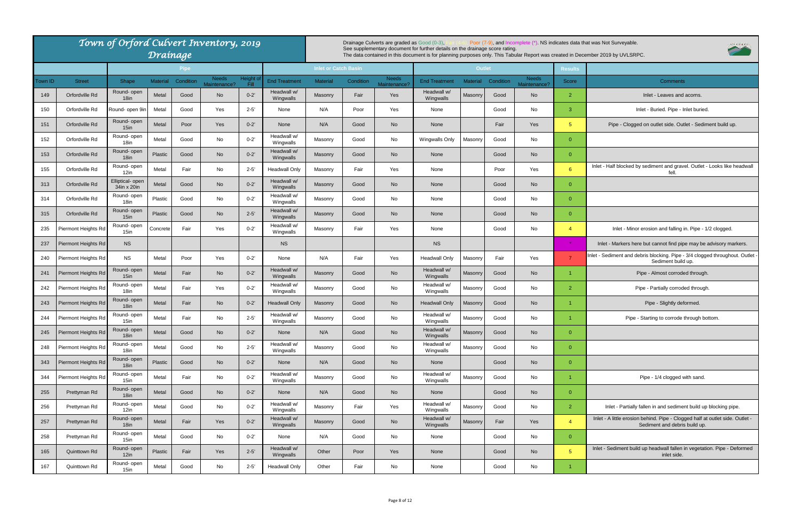

Inlet - Partially fallen in and sediment build up blocking pipe.

|         |                     | Town of Orford Culvert Inventory, 2019 | Drainage        |             |              |          |                                     |                             |           | Drainage Culverts are graded as Good (0-3). | See supplementary document for further details on the drainage score rating. |                 |           |              |                | Poor (7-9), and Incomplete (*). NS indicates data that was Not Surveyable.<br>The data contained in this document is for planning purposes only. This Tabular Report was created in December 2019 by UVLSRPC. |
|---------|---------------------|----------------------------------------|-----------------|-------------|--------------|----------|-------------------------------------|-----------------------------|-----------|---------------------------------------------|------------------------------------------------------------------------------|-----------------|-----------|--------------|----------------|---------------------------------------------------------------------------------------------------------------------------------------------------------------------------------------------------------------|
|         |                     |                                        |                 | <b>Pipe</b> | <b>Needs</b> | Height o |                                     | <b>Inlet or Catch Basin</b> |           | <b>Needs</b>                                |                                                                              | <b>Outlet</b>   |           | <b>Needs</b> | <b>Results</b> |                                                                                                                                                                                                               |
| Town ID | <b>Street</b>       | Shape<br>Round- open                   | <b>Material</b> | Condition   | Maintenance? | Fill     | <b>End Treatment</b><br>Headwall w/ | <b>Material</b>             | Condition | Maintenance?                                | <b>End Treatment</b><br>Headwall w/                                          | <b>Material</b> | Condition | Maintenance? | <b>Score</b>   | <b>Comments</b>                                                                                                                                                                                               |
| 149     | Orfordville Rd      | 18 <sub>in</sub>                       | Metal           | Good        | No           | $0 - 2'$ | Wingwalls                           | Masonry                     | Fair      | Yes                                         | Wingwalls                                                                    | Masonry         | Good      | <b>No</b>    | $\overline{2}$ | Inlet - Leaves and acorns                                                                                                                                                                                     |
| 150     | Orfordville Rd      | Round- open 9in                        | Metal           | Good        | Yes          | $2 - 5'$ | None                                | N/A                         | Poor      | Yes                                         | None                                                                         |                 | Good      | No           | -3             | Inlet - Buried. Pipe - Inlet bur                                                                                                                                                                              |
| 151     | Orfordville Rd      | Round-open<br>15 <sub>in</sub>         | Metal           | Poor        | Yes          | $0 - 2'$ | None                                | N/A                         | Good      | <b>No</b>                                   | None                                                                         |                 | Fair      | Yes          | 5 <sup>5</sup> | Pipe - Clogged on outlet side. Outlet - Se                                                                                                                                                                    |
| 152     | Orfordville Rd      | Round-open<br>18in                     | Metal           | Good        | No           | $0 - 2'$ | Headwall w/<br>Wingwalls            | Masonry                     | Good      | No                                          | <b>Wingwalls Only</b>                                                        | Masonry         | Good      | No           | $\overline{0}$ |                                                                                                                                                                                                               |
| 153     | Orfordville Rd      | Round-open<br>18 <sub>in</sub>         | <b>Plastic</b>  | Good        | <b>No</b>    | $0 - 2'$ | Headwall w/<br>Wingwalls            | Masonry                     | Good      | <b>No</b>                                   | None                                                                         |                 | Good      | <b>No</b>    | $\overline{0}$ |                                                                                                                                                                                                               |
| 155     | Orfordville Rd      | Round-open<br>12in                     | Metal           | Fair        | No           | $2 - 5'$ | <b>Headwall Only</b>                | Masonry                     | Fair      | Yes                                         | None                                                                         |                 | Poor      | Yes          | $6^{\circ}$    | Inlet - Half blocked by sediment and gravel. Outlet<br>fell.                                                                                                                                                  |
| 313     | Orfordville Rd      | Elliptical- open<br>34in x 20in        | Metal           | Good        | <b>No</b>    | $0 - 2'$ | Headwall w/<br>Wingwalls            | Masonry                     | Good      | <b>No</b>                                   | None                                                                         |                 | Good      | <b>No</b>    | $\overline{0}$ |                                                                                                                                                                                                               |
| 314     | Orfordville Rd      | Round- open<br>18in                    | Plastic         | Good        | No           | $0 - 2'$ | Headwall w/<br>Wingwalls            | Masonry                     | Good      | No                                          | None                                                                         |                 | Good      | No           | $\overline{0}$ |                                                                                                                                                                                                               |
| 315     | Orfordville Rd      | Round- open<br>15 <sub>in</sub>        | Plastic         | Good        | <b>No</b>    | $2 - 5'$ | Headwall w/<br>Wingwalls            | Masonry                     | Good      | <b>No</b>                                   | None                                                                         |                 | Good      | <b>No</b>    | $\overline{0}$ |                                                                                                                                                                                                               |
| 235     | Piermont Heights Rd | Round- open<br>15in                    | Concrete        | Fair        | Yes          | $0 - 2'$ | Headwall w/<br>Wingwalls            | Masonry                     | Fair      | Yes                                         | None                                                                         |                 | Good      | No           | $\overline{4}$ | Inlet - Minor erosion and falling in. Pipe                                                                                                                                                                    |
| 237     | Piermont Heights Rd | <b>NS</b>                              |                 |             |              |          | <b>NS</b>                           |                             |           |                                             | <b>NS</b>                                                                    |                 |           |              | $\star$        | Inlet - Markers here but cannot find pipe may I                                                                                                                                                               |
| 240     | Piermont Heights Rd | <b>NS</b>                              | Metal           | Poor        | Yes          | $0 - 2'$ | None                                | N/A                         | Fair      | Yes                                         | Headwall Only                                                                | Masonry         | Fair      | Yes          | $\overline{7}$ | Inlet - Sediment and debris blocking. Pipe - 3/4 clo<br>Sediment build up.                                                                                                                                    |
| 241     | Piermont Heights Rd | Round-open<br>$15$ in                  | Metal           | Fair        | <b>No</b>    | $0 - 2'$ | Headwall w/<br>Wingwalls            | Masonry                     | Good      | No                                          | Headwall w/<br>Wingwalls                                                     | Masonry         | Good      | <b>No</b>    | 1              | Pipe - Almost corroded throu                                                                                                                                                                                  |
| 242     | Piermont Heights Rd | Round-open<br>18in                     | Metal           | Fair        | Yes          | $0 - 2'$ | Headwall w/<br>Wingwalls            | Masonry                     | Good      | No                                          | Headwall w/<br>Wingwalls                                                     | Masonry         | Good      | No           | $\overline{2}$ | Pipe - Partially corroded throu                                                                                                                                                                               |
| 243     | Piermont Heights Rd | Round- open<br>18 <sub>in</sub>        | Metal           | Fair        | <b>No</b>    | $0 - 2'$ | <b>Headwall Only</b>                | Masonry                     | Good      | <b>No</b>                                   | <b>Headwall Only</b>                                                         | Masonry         | Good      | <b>No</b>    | 1              | Pipe - Slightly deformed.                                                                                                                                                                                     |
| 244     | Piermont Heights Rd | Round- open<br>15in                    | Metal           | Fair        | No           | $2 - 5'$ | Headwall w/<br>Wingwalls            | Masonry                     | Good      | No                                          | Headwall w/<br>Wingwalls                                                     | Masonry         | Good      | No           | 1              | Pipe - Starting to corrode through                                                                                                                                                                            |
| 245     | Piermont Heights Rd | Round- open<br>18in                    | Metal           | Good        | <b>No</b>    | $0 - 2'$ | None                                | N/A                         | Good      | <b>No</b>                                   | Headwall w/<br>Wingwalls                                                     | Masonry         | Good      | <b>No</b>    | $\overline{0}$ |                                                                                                                                                                                                               |
| 248     | Piermont Heights Rd | Round- open<br>18in                    | Metal           | Good        | No           | $2 - 5'$ | Headwall w/<br>Wingwalls            | Masonry                     | Good      | No                                          | Headwall w/<br>Wingwalls                                                     | Masonry         | Good      | No           | $\overline{0}$ |                                                                                                                                                                                                               |
| 343     | Piermont Heights Rd | Round- open<br>18in                    | Plastic         | Good        | <b>No</b>    | $0 - 2'$ | None                                | N/A                         | Good      | No                                          | None                                                                         |                 | Good      | <b>No</b>    | $\overline{0}$ |                                                                                                                                                                                                               |
| 344     | Piermont Heights Rd | Round- open<br>15in                    | Metal           | Fair        | No           | $0 - 2'$ | Headwall w/<br>Wingwalls            | Masonry                     | Good      | No                                          | Headwall w/<br>Wingwalls                                                     | Masonry         | Good      | No           | 1              | Pipe - 1/4 clogged with san                                                                                                                                                                                   |
| 255     | Prettyman Rd        | Round- open<br>18 <sub>in</sub>        | Metal           | Good        | No           | $0 - 2'$ | None                                | N/A                         | Good      | No                                          | None                                                                         |                 | Good      | <b>No</b>    | $\overline{0}$ |                                                                                                                                                                                                               |
| 256     | Prettyman Rd        | Round- open<br>12in                    | Metal           | Good        | No           | $0 - 2'$ | Headwall w/<br>Wingwalls            | Masonry                     | Fair      | Yes                                         | Headwall w/<br>Wingwalls                                                     | Masonry         | Good      | No           | 2 <sup>7</sup> | Inlet - Partially fallen in and sediment build                                                                                                                                                                |
| 257     | Prettyman Rd        | Round- open<br>18 <sub>in</sub>        | Metal           | Fair        | Yes          | $0 - 2'$ | Headwall w/<br>Wingwalls            | Masonry                     | Good      | No                                          | Headwall w/<br>Wingwalls                                                     | Masonry         | Fair      | Yes          | $\overline{4}$ | Inlet - A little erosion behind. Pipe - Clogged halt<br>Sediment and debris build u                                                                                                                           |
| 258     | Prettyman Rd        | Round- open<br>15 <sub>in</sub>        | Metal           | Good        | No           | $0 - 2'$ | None                                | N/A                         | Good      | No                                          | None                                                                         |                 | Good      | No           | $\overline{0}$ |                                                                                                                                                                                                               |
| 165     | Quinttown Rd        | Round- open<br>12in                    | Plastic         | Fair        | Yes          | $2 - 5'$ | Headwall w/<br>Wingwalls            | Other                       | Poor      | Yes                                         | None                                                                         |                 | Good      | <b>No</b>    | 5 <sub>5</sub> | Inlet - Sediment build up headwall fallen in veget<br>inlet side.                                                                                                                                             |
| 167     | Quinttown Rd        | Round- open<br>15in                    | Metal           | Good        | No           | $2 - 5'$ | <b>Headwall Only</b>                | Other                       | Fair      | No                                          | None                                                                         |                 | Good      | No           | 1              |                                                                                                                                                                                                               |

Inlet - A little erosion behind. Pipe - Clogged half at outlet side. Outlet - Sediment and debris build up.

Inlet - Sediment build up headwall fallen in vegetation. Pipe - Deformed inlet side.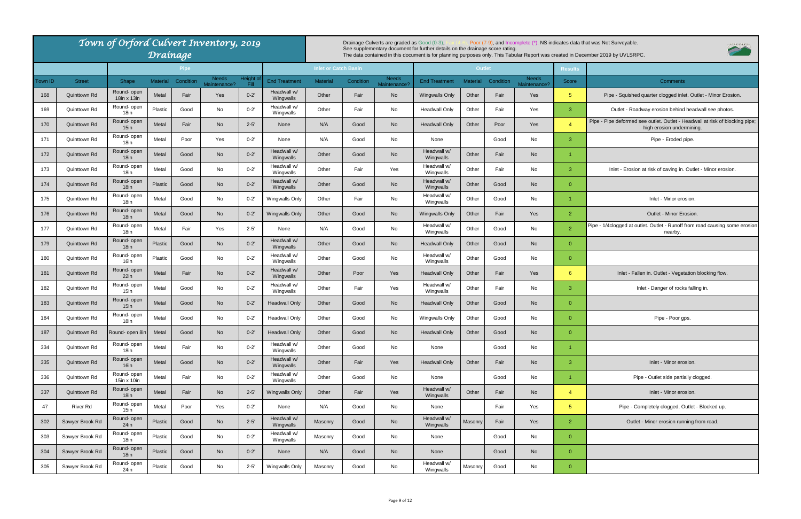Pipe - Pipe deformed see outlet. Outlet - Headwall at risk of blocking pipe; high erosion undermining.

Inlet - Erosion at risk of caving in. Outlet - Minor erosion.

|         |                 | Town of Orford Culvert Inventory, 2019 | Drainage        |             |                              |                   |                          |                             |           | Drainage Culverts are graded as Good (0-3). | See supplementary document for further details on the drainage score rating. |                 |           |                              |                 | Poor (7-9), and Incomplete (*). NS indicates data that was Not Surveyable.<br>The data contained in this document is for planning purposes only. This Tabular Report was created in December 2019 by UVLSRPC. |
|---------|-----------------|----------------------------------------|-----------------|-------------|------------------------------|-------------------|--------------------------|-----------------------------|-----------|---------------------------------------------|------------------------------------------------------------------------------|-----------------|-----------|------------------------------|-----------------|---------------------------------------------------------------------------------------------------------------------------------------------------------------------------------------------------------------|
|         |                 |                                        |                 | <b>Pipe</b> |                              |                   |                          | <b>Inlet or Catch Basin</b> |           |                                             |                                                                              | <b>Outlet</b>   |           |                              | <b>Results</b>  |                                                                                                                                                                                                               |
| Town ID | <b>Street</b>   | Shape                                  | <b>Material</b> | Condition   | <b>Needs</b><br>Maintenance? | Height c<br>-Fill | End Treatment            | <b>Material</b>             | Condition | <b>Needs</b><br>Maintenance?                | <b>End Treatment</b>                                                         | <b>Material</b> | Condition | <b>Needs</b><br>Maintenance? | Score           | <b>Comments</b>                                                                                                                                                                                               |
| 168     | Quinttown Rd    | Round- open<br>18in x 13in             | Metal           | Fair        | Yes                          | $0 - 2'$          | Headwall w/<br>Wingwalls | Other                       | Fair      | <b>No</b>                                   | <b>Wingwalls Only</b>                                                        | Other           | Fair      | Yes                          | $5\phantom{.0}$ | Pipe - Squished quarter clogged inlet. Out                                                                                                                                                                    |
| 169     | Quinttown Rd    | Round- open<br>18in                    | Plastic         | Good        | No                           | $0 - 2'$          | Headwall w/<br>Wingwalls | Other                       | Fair      | No                                          | <b>Headwall Only</b>                                                         | Other           | Fair      | Yes                          | $\mathbf{3}$    | Outlet - Roadway erosion behind heady                                                                                                                                                                         |
| 170     | Quinttown Rd    | Round-open<br>15 <sub>in</sub>         | Metal           | Fair        | <b>No</b>                    | $2 - 5'$          | None                     | N/A                         | Good      | <b>No</b>                                   | <b>Headwall Only</b>                                                         | Other           | Poor      | Yes                          | $\overline{4}$  | Pipe - Pipe deformed see outlet. Outlet - Headwa<br>high erosion undermining                                                                                                                                  |
| 171     | Quinttown Rd    | Round- open<br>18 <sub>in</sub>        | Metal           | Poor        | Yes                          | $0 - 2'$          | None                     | N/A                         | Good      | No                                          | None                                                                         |                 | Good      | No                           | 3               | Pipe - Eroded pipe.                                                                                                                                                                                           |
| 172     | Quinttown Rd    | Round- open<br>18in                    | Metal           | Good        | <b>No</b>                    | $0 - 2'$          | Headwall w/<br>Wingwalls | Other                       | Good      | <b>No</b>                                   | Headwall w/<br>Wingwalls                                                     | Other           | Fair      | <b>No</b>                    |                 |                                                                                                                                                                                                               |
| 173     | Quinttown Rd    | Round-open<br>18in                     | Metal           | Good        | No                           | $0 - 2'$          | Headwall w/<br>Wingwalls | Other                       | Fair      | Yes                                         | Headwall w/<br>Wingwalls                                                     | Other           | Fair      | No                           | 3               | Inlet - Erosion at risk of caving in. Outlet                                                                                                                                                                  |
| 174     | Quinttown Rd    | Round- open<br>18 <sub>in</sub>        | Plastic         | Good        | No                           | $0 - 2'$          | Headwall w/<br>Wingwalls | Other                       | Good      | <b>No</b>                                   | Headwall w/<br>Wingwalls                                                     | Other           | Good      | <b>No</b>                    | $\overline{0}$  |                                                                                                                                                                                                               |
| 175     | Quinttown Rd    | Round- open<br>18in                    | Metal           | Good        | No                           | $0 - 2'$          | Wingwalls Only           | Other                       | Fair      | No                                          | Headwall w/<br>Wingwalls                                                     | Other           | Good      | No                           | 1               | Inlet - Minor erosion.                                                                                                                                                                                        |
| 176     | Quinttown Rd    | Round- open<br>18in                    | Metal           | Good        | No                           | $0 - 2'$          | <b>Wingwalls Only</b>    | Other                       | Good      | <b>No</b>                                   | Wingwalls Only                                                               | Other           | Fair      | Yes                          | $\overline{2}$  | Outlet - Minor Erosion.                                                                                                                                                                                       |
| 177     | Quinttown Rd    | Round- open<br>18 <sub>in</sub>        | Metal           | Fair        | Yes                          | $2 - 5'$          | None                     | N/A                         | Good      | No                                          | Headwall w/<br>Wingwalls                                                     | Other           | Good      | No                           | $\overline{2}$  | Pipe - 1/4clogged at outlet. Outlet - Runoff from ro<br>nearby.                                                                                                                                               |
| 179     | Quinttown Rd    | Round-open<br>18 <sub>in</sub>         | Plastic         | Good        | No                           | $0 - 2'$          | Headwall w/<br>Wingwalls | Other                       | Good      | <b>No</b>                                   | <b>Headwall Only</b>                                                         | Other           | Good      | <b>No</b>                    | $\overline{0}$  |                                                                                                                                                                                                               |
| 180     | Quinttown Rd    | Round- open<br>16in                    | Plastic         | Good        | No                           | $0 - 2'$          | Headwall w/<br>Wingwalls | Other                       | Good      | No                                          | Headwall w/<br>Wingwalls                                                     | Other           | Good      | No                           | $\overline{0}$  |                                                                                                                                                                                                               |
| 181     | Quinttown Rd    | Round- open<br>22in                    | Metal           | Fair        | <b>No</b>                    | $0 - 2'$          | Headwall w/<br>Wingwalls | Other                       | Poor      | Yes                                         | <b>Headwall Only</b>                                                         | Other           | Fair      | Yes                          | 6               | Inlet - Fallen in. Outlet - Vegetation b                                                                                                                                                                      |
| 182     | Quinttown Rd    | Round-open<br>15in                     | Metal           | Good        | No                           | $0 - 2'$          | Headwall w/<br>Wingwalls | Other                       | Fair      | Yes                                         | Headwall w/<br>Wingwalls                                                     | Other           | Fair      | No                           | 3               | Inlet - Danger of rocks fallin                                                                                                                                                                                |
| 183     | Quinttown Rd    | Round- open<br>15 <sub>in</sub>        | Metal           | Good        | <b>No</b>                    | $0 - 2'$          | <b>Headwall Only</b>     | Other                       | Good      | <b>No</b>                                   | <b>Headwall Only</b>                                                         | Other           | Good      | <b>No</b>                    | $\overline{0}$  |                                                                                                                                                                                                               |
| 184     | Quinttown Rd    | Round- open<br>18in                    | Metal           | Good        | No                           | $0 - 2'$          | Headwall Only            | Other                       | Good      | No                                          | Wingwalls Only                                                               | Other           | Good      | No                           | $\overline{0}$  | Pipe - Poor gps.                                                                                                                                                                                              |
| 187     | Quinttown Rd    | Round- open 8in                        | Metal           | Good        | <b>No</b>                    | $0 - 2'$          | <b>Headwall Only</b>     | Other                       | Good      | <b>No</b>                                   | <b>Headwall Only</b>                                                         | Other           | Good      | <b>No</b>                    | $\overline{0}$  |                                                                                                                                                                                                               |
| 334     | Quinttown Rd    | Round- open<br>18in                    | Metal           | Fair        | No                           | $0 - 2'$          | Headwall w/<br>Wingwalls | Other                       | Good      | No                                          | None                                                                         |                 | Good      | No                           |                 |                                                                                                                                                                                                               |
| 335     | Quinttown Rd    | Round- open<br>16in                    | Metal           | Good        | <b>No</b>                    | $0 - 2'$          | Headwall w/<br>Wingwalls | Other                       | Fair      | Yes                                         | <b>Headwall Only</b>                                                         | Other           | Fair      | No                           | $\mathbf{3}$    | Inlet - Minor erosion.                                                                                                                                                                                        |
| 336     | Quinttown Rd    | Round- open<br>15in x 10in             | Metal           | Fair        | No                           | $0 - 2'$          | Headwall w/<br>Wingwalls | Other                       | Good      | No                                          | None                                                                         |                 | Good      | No                           | $\overline{1}$  | Pipe - Outlet side partially clo                                                                                                                                                                              |
| 337     | Quinttown Rd    | Round- open<br>18in                    | Metal           | Fair        | <b>No</b>                    | $2 - 5'$          | <b>Wingwalls Only</b>    | Other                       | Fair      | Yes                                         | Headwall w/<br>Wingwalls                                                     | Other           | Fair      | <b>No</b>                    | $\overline{4}$  | Inlet - Minor erosion.                                                                                                                                                                                        |
| 47      | <b>River Rd</b> | Round- open<br>$15$ in                 | Metal           | Poor        | Yes                          | $0 - 2'$          | None                     | N/A                         | Good      | No                                          | None                                                                         |                 | Fair      | Yes                          | 5 <sup>5</sup>  | Pipe - Completely clogged. Outlet                                                                                                                                                                             |
| 302     | Sawyer Brook Rd | Round- open<br>24in                    | Plastic         | Good        | <b>No</b>                    | $2 - 5'$          | Headwall w/<br>Wingwalls | Masonry                     | Good      | No                                          | Headwall w/<br>Wingwalls                                                     | Masonry         | Fair      | Yes                          | $\overline{2}$  | Outlet - Minor erosion running from                                                                                                                                                                           |
| 303     | Sawyer Brook Rd | Round- open<br>18in                    | Plastic         | Good        | No                           | $0 - 2'$          | Headwall w/<br>Wingwalls | Masonry                     | Good      | No                                          | None                                                                         |                 | Good      | No                           | $\overline{0}$  |                                                                                                                                                                                                               |
| 304     | Sawyer Brook Rd | Round- open<br>18 <sub>in</sub>        | Plastic         | Good        | <b>No</b>                    | $0 - 2'$          | None                     | N/A                         | Good      | <b>No</b>                                   | None                                                                         |                 | Good      | <b>No</b>                    | $\overline{0}$  |                                                                                                                                                                                                               |
| 305     | Sawyer Brook Rd | Round- open<br>24in                    | Plastic         | Good        | No                           | $2 - 5'$          | Wingwalls Only           | Masonry                     | Good      | No                                          | Headwall w/<br>Wingwalls                                                     | Masonry         | Good      | No                           | $\overline{0}$  |                                                                                                                                                                                                               |

Pipe - 1/4clogged at outlet. Outlet - Runoff from road causing some erosion nearby.

Inlet - Fallen in. Outlet - Vegetation blocking flow.

Inlet - Danger of rocks falling in.

Pipe - Outlet side partially clogged.

Pipe - Completely clogged. Outlet - Blocked up.

Outlet - Minor erosion running from road.



Pipe - Squished quarter clogged inlet. Outlet - Minor Erosion.

Outlet - Roadway erosion behind headwall see photos.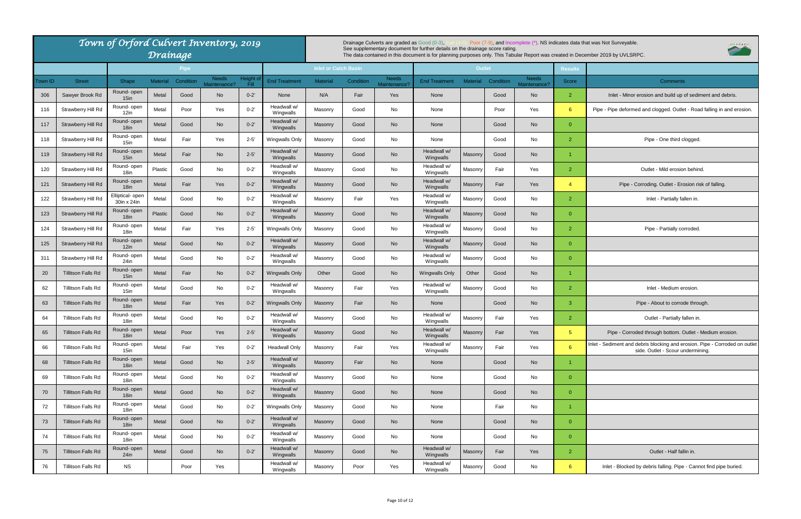|         |                           | Town of Orford Culvert Inventory, 2019 |                 | Drainage    |                              |                   |                          |                             |           | Drainage Culverts are graded as Good (0-3), | See supplementary document for further details on the drainage score rating. |                 |           |                              |                | Poor (7-9), and Incomplete (*). NS indicates data that was Not Surveyable.<br>The data contained in this document is for planning purposes only. This Tabular Report was created in December 2019 by UVLSRPC. |
|---------|---------------------------|----------------------------------------|-----------------|-------------|------------------------------|-------------------|--------------------------|-----------------------------|-----------|---------------------------------------------|------------------------------------------------------------------------------|-----------------|-----------|------------------------------|----------------|---------------------------------------------------------------------------------------------------------------------------------------------------------------------------------------------------------------|
|         |                           |                                        |                 | <b>Pipe</b> |                              |                   |                          | <b>Inlet or Catch Basin</b> |           |                                             |                                                                              | <b>Outlet</b>   |           |                              | <b>Results</b> |                                                                                                                                                                                                               |
| Town ID | <b>Street</b>             | Shape                                  | <b>Material</b> | Condition   | <b>Needs</b><br>Maintenance? | Height o<br>Fill. | <b>End Treatment</b>     | <b>Material</b>             | Condition | <b>Needs</b><br>Maintenance?                | <b>End Treatment</b>                                                         | <b>Material</b> | Condition | <b>Needs</b><br>Maintenance? | Score          | <b>Comments</b>                                                                                                                                                                                               |
| 306     | Sawyer Brook Rd           | Round- open<br>15 <sub>in</sub>        | Metal           | Good        | No                           | $0 - 2'$          | None                     | N/A                         | Fair      | Yes                                         | None                                                                         |                 | Good      | <b>No</b>                    | $\overline{2}$ | Inlet - Minor erosion and build up of sediment                                                                                                                                                                |
| 116     | Strawberry Hill Rd        | Round- open<br>12in                    | Metal           | Poor        | Yes                          | $0 - 2'$          | Headwall w/<br>Wingwalls | Masonry                     | Good      | No                                          | None                                                                         |                 | Poor      | Yes                          | $6^{\circ}$    | Pipe - Pipe deformed and clogged. Outlet - Road fal                                                                                                                                                           |
| 117     | Strawberry Hill Rd        | Round- open<br>18 <sub>in</sub>        | Metal           | Good        | <b>No</b>                    | $0 - 2'$          | Headwall w/<br>Wingwalls | Masonry                     | Good      | <b>No</b>                                   | None                                                                         |                 | Good      | <b>No</b>                    | $\overline{0}$ |                                                                                                                                                                                                               |
| 118     | Strawberry Hill Rd        | Round- open<br>15in                    | Metal           | Fair        | Yes                          | $2 - 5'$          | Wingwalls Only           | Masonry                     | Good      | No                                          | None                                                                         |                 | Good      | No                           | $\overline{2}$ | Pipe - One third clogged.                                                                                                                                                                                     |
| 119     | Strawberry Hill Rd        | Round-open<br>15in                     | Metal           | Fair        | <b>No</b>                    | $2 - 5'$          | Headwall w/<br>Wingwalls | Masonry                     | Good      | <b>No</b>                                   | Headwall w/<br>Wingwalls                                                     | Masonry         | Good      | <b>No</b>                    |                |                                                                                                                                                                                                               |
| 120     | Strawberry Hill Rd        | Round- open<br>18in                    | Plastic         | Good        | No                           | $0 - 2'$          | Headwall w/<br>Wingwalls | Masonry                     | Good      | No                                          | Headwall w/<br>Wingwalls                                                     | Masonry         | Fair      | Yes                          | $\overline{2}$ | Outlet - Mild erosion behind.                                                                                                                                                                                 |
| 121     | Strawberry Hill Rd        | Round- open<br>$18$ in                 | Metal           | Fair        | Yes                          | $0 - 2'$          | Headwall w/<br>Wingwalls | Masonry                     | Good      | No                                          | Headwall w/<br>Wingwalls                                                     | Masonry         | Fair      | Yes                          | $\overline{4}$ | Pipe - Corroding. Outlet - Erosion risk of                                                                                                                                                                    |
| 122     | Strawberry Hill Rd        | Elliptical- open<br>30in x 24in        | Metal           | Good        | No                           | $0 - 2'$          | Headwall w/<br>Wingwalls | Masonry                     | Fair      | Yes                                         | Headwall w/<br>Wingwalls                                                     | Masonry         | Good      | No                           | $\overline{2}$ | Inlet - Partially fallen in.                                                                                                                                                                                  |
| 123     | Strawberry Hill Rd        | Round- open<br>18in                    | Plastic         | Good        | <b>No</b>                    | $0 - 2'$          | Headwall w/<br>Wingwalls | Masonry                     | Good      | No                                          | Headwall w/<br>Wingwalls                                                     | Masonry         | Good      | <b>No</b>                    | $\Omega$       |                                                                                                                                                                                                               |
| 124     | Strawberry Hill Rd        | Round- open<br>18in                    | Metal           | Fair        | Yes                          | $2 - 5'$          | Wingwalls Only           | Masonry                     | Good      | No                                          | Headwall w/<br>Wingwalls                                                     | Masonry         | Good      | No                           | $\overline{2}$ | Pipe - Partially corroded.                                                                                                                                                                                    |
| 125     | Strawberry Hill Rd        | Round- open<br>12in                    | Metal           | Good        | <b>No</b>                    | $0 - 2'$          | Headwall w/<br>Wingwalls | Masonry                     | Good      | No                                          | Headwall w/<br>Wingwalls                                                     | Masonry         | Good      | <b>No</b>                    | $\overline{0}$ |                                                                                                                                                                                                               |
| 311     | Strawberry Hill Rd        | Round- open<br>24in                    | Metal           | Good        | No                           | $0 - 2'$          | Headwall w/<br>Wingwalls | Masonry                     | Good      | No                                          | Headwall w/<br>Wingwalls                                                     | Masonry         | Good      | No                           | $\overline{0}$ |                                                                                                                                                                                                               |
| 20      | <b>Tillitson Falls Rd</b> | Round- open<br>$15$ in                 | Metal           | Fair        | <b>No</b>                    | $0 - 2'$          | <b>Wingwalls Only</b>    | Other                       | Good      | <b>No</b>                                   | <b>Wingwalls Only</b>                                                        | Other           | Good      | <b>No</b>                    | 1              |                                                                                                                                                                                                               |
| 62      | Tillitson Falls Rd        | Round- open<br>15in                    | Metal           | Good        | No                           | $0 - 2'$          | Headwall w/<br>Wingwalls | Masonry                     | Fair      | Yes                                         | Headwall w/<br>Wingwalls                                                     | Masonry         | Good      | No                           | $\overline{2}$ | Inlet - Medium erosion.                                                                                                                                                                                       |
| 63      | <b>Tillitson Falls Rd</b> | Round- open<br>18 <sub>in</sub>        | Metal           | Fair        | Yes                          | $0 - 2'$          | <b>Wingwalls Only</b>    | Masonry                     | Fair      | <b>No</b>                                   | None                                                                         |                 | Good      | <b>No</b>                    | 3              | Pipe - About to corrode through.                                                                                                                                                                              |
| 64      | Tillitson Falls Rd        | Round- open<br>18in                    | Metal           | Good        | No                           | $0 - 2'$          | Headwall w/<br>Wingwalls | Masonry                     | Good      | No                                          | Headwall w/<br>Wingwalls                                                     | Masonry         | Fair      | Yes                          | $\overline{2}$ | Outlet - Partially fallen in.                                                                                                                                                                                 |
| 65      | <b>Tillitson Falls Rd</b> | Round- open<br>18 <sub>in</sub>        | Metal           | Poor        | Yes                          | $2 - 5'$          | Headwall w/<br>Wingwalls | Masonry                     | Good      | <b>No</b>                                   | Headwall w/<br>Wingwalls                                                     | Masonry         | Fair      | Yes                          | 5 <sup>5</sup> | Pipe - Corroded through bottom. Outlet - Med                                                                                                                                                                  |
| 66      | <b>Tillitson Falls Rd</b> | Round- open<br>15in                    | Metal           | Fair        | Yes                          | $0 - 2'$          | <b>Headwall Only</b>     | Masonry                     | Fair      | Yes                                         | Headwall w/<br>Wingwalls                                                     | Masonry         | Fair      | Yes                          | $6^{\circ}$    | Inlet - Sediment and debris blocking and erosion. Pipe<br>side. Outlet - Scour undermining.                                                                                                                   |
| 68      | <b>Tillitson Falls Rd</b> | Round- open<br>18 <sub>in</sub>        | Metal           | Good        | No                           | $2 - 5'$          | Headwall w/<br>Wingwalls | Masonry                     | Fair      | No                                          | None                                                                         |                 | Good      | <b>No</b>                    | 1              |                                                                                                                                                                                                               |
| 69      | Tillitson Falls Rd        | Round- open<br>18 <sub>in</sub>        | Metal           | Good        | No                           | $0 - 2'$          | Headwall w/<br>Wingwalls | Masonry                     | Good      | No                                          | None                                                                         |                 | Good      | No                           | $\overline{0}$ |                                                                                                                                                                                                               |
| 70      | <b>Tillitson Falls Rd</b> | Round- open<br>18in                    | Metal           | Good        | No                           | $0 - 2'$          | Headwall w/<br>Wingwalls | Masonry                     | Good      | No                                          | None                                                                         |                 | Good      | <b>No</b>                    | $\overline{0}$ |                                                                                                                                                                                                               |
| 72      | Tillitson Falls Rd        | Round- open<br>18in                    | Metal           | Good        | No                           | $0 - 2'$          | Wingwalls Only           | Masonry                     | Good      | No                                          | None                                                                         |                 | Fair      | No                           | 1              |                                                                                                                                                                                                               |
| 73      | <b>Tillitson Falls Rd</b> | Round- open<br>18 <sub>in</sub>        | Metal           | Good        | No                           | $0 - 2'$          | Headwall w/<br>Wingwalls | Masonry                     | Good      | No                                          | None                                                                         |                 | Good      | <b>No</b>                    | $\overline{0}$ |                                                                                                                                                                                                               |
| 74      | Tillitson Falls Rd        | Round- open<br>18in                    | Metal           | Good        | No                           | $0 - 2'$          | Headwall w/<br>Wingwalls | Masonry                     | Good      | No                                          | None                                                                         |                 | Good      | No                           | $\overline{0}$ |                                                                                                                                                                                                               |
| 75      | Tillitson Falls Rd        | Round- open<br>$24$ in                 | Metal           | Good        | <b>No</b>                    | $0 - 2'$          | Headwall w/<br>Wingwalls | Masonry                     | Good      | No                                          | Headwall w/<br>Wingwalls                                                     | Masonry         | Fair      | Yes                          | $\overline{2}$ | Outlet - Half fallin in.                                                                                                                                                                                      |
| 76      | Tillitson Falls Rd        | <b>NS</b>                              |                 | Poor        | Yes                          |                   | Headwall w/<br>Wingwalls | Masonry                     | Poor      | Yes                                         | Headwall w/<br>Wingwalls                                                     | Masonry         | Good      | No                           | $6^{\circ}$    | Inlet - Blocked by debris falling. Pipe - Cannot fi                                                                                                                                                           |

Inlet - Sediment and debris blocking and erosion. Pipe - Corroded on outlet side. Outlet - Scour undermining.

Inlet - Blocked by debris falling. Pipe - Cannot find pipe buried.



Inlet - Minor erosion and build up of sediment and debris.

Pipe - Pipe deformed and clogged. Outlet - Road falling in and erosion.

Pipe - Corroding. Outlet - Erosion risk of falling.

Pipe - Corroded through bottom. Outlet - Medium erosion.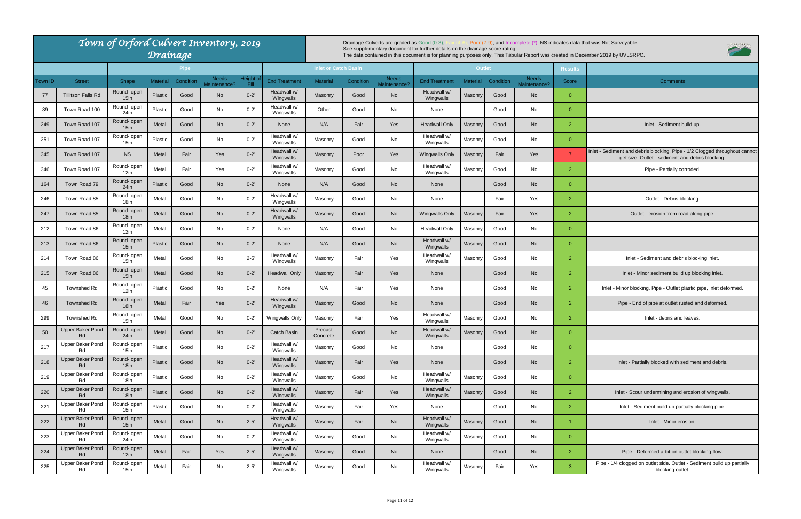| Town of Orford Culvert Inventory, 2019<br>Drainage |                                      |                                 |                 |           |                       |                   |                          |                             | Drainage Culverts are graded as Good (0-3),<br>Poor (7-9), and Incomplete (*) NS indicates data that was Not Surveyable.<br>See supplementary document for further details on the drainage score rating.<br>The data contained in this document is for planning purposes only. This Tabular Report was created in December 2019 by UVLSRPC. |                              |                          |                 |           |                              |                |                                                                                               |  |
|----------------------------------------------------|--------------------------------------|---------------------------------|-----------------|-----------|-----------------------|-------------------|--------------------------|-----------------------------|---------------------------------------------------------------------------------------------------------------------------------------------------------------------------------------------------------------------------------------------------------------------------------------------------------------------------------------------|------------------------------|--------------------------|-----------------|-----------|------------------------------|----------------|-----------------------------------------------------------------------------------------------|--|
| <b>Pipe</b>                                        |                                      |                                 |                 |           |                       |                   |                          | <b>Inlet or Catch Basin</b> |                                                                                                                                                                                                                                                                                                                                             |                              |                          | <b>Outlet</b>   |           |                              | <b>Results</b> |                                                                                               |  |
| Town ID                                            | <b>Street</b>                        | Shape                           | <b>Material</b> | Condition | Needs<br>Maintenance? | Height of<br>Fill | <b>End Treatment</b>     | <b>Material</b>             | Condition                                                                                                                                                                                                                                                                                                                                   | <b>Needs</b><br>Maintenance? | <b>End Treatment</b>     | <b>Material</b> | Condition | <b>Needs</b><br>Maintenance? | Score          | Comments                                                                                      |  |
| 77                                                 | <b>Tillitson Falls Rd</b>            | Round- open<br>15 <sub>in</sub> | <b>Plastic</b>  | Good      | No                    | $0 - 2'$          | Headwall w/<br>Wingwalls | Masonry                     | Good                                                                                                                                                                                                                                                                                                                                        | No                           | Headwall w/<br>Wingwalls | Masonry         | Good      | No                           | $\overline{0}$ |                                                                                               |  |
| -89                                                | Town Road 100                        | Round- open<br>$24$ in          | Plastic         | Good      | No                    | $0 - 2'$          | Headwall w/<br>Wingwalls | Other                       | Good                                                                                                                                                                                                                                                                                                                                        | No                           | None                     |                 | Good      | No                           | $\overline{0}$ |                                                                                               |  |
| 249                                                | Town Road 107                        | Round- open<br>$15$ in          | Metal           | Good      | No                    | $0 - 2'$          | None                     | N/A                         | Fair                                                                                                                                                                                                                                                                                                                                        | <b>Yes</b>                   | <b>Headwall Only</b>     | Masonry         | Good      | No                           | $\overline{2}$ | Inlet - Sediment build up.                                                                    |  |
| 251                                                | Town Road 107                        | Round- open<br>15in             | Plastic         | Good      | No                    | $0 - 2'$          | Headwall w/<br>Wingwalls | Masonry                     | Good                                                                                                                                                                                                                                                                                                                                        | No                           | Headwall w/<br>Wingwalls | Masonry         | Good      | No                           | $\overline{0}$ |                                                                                               |  |
| 345                                                | Town Road 107                        | <b>NS</b>                       | Metal           | Fair      | <b>Yes</b>            | $0 - 2'$          | Headwall w/<br>Wingwalls | Masonry                     | Poor                                                                                                                                                                                                                                                                                                                                        | Yes                          | <b>Wingwalls Only</b>    | Masonry         | Fair      | Yes                          | $\overline{7}$ | Inlet - Sediment and debris blocking. Pipe - 1/2 Clo<br>get size. Outlet - sediment and debri |  |
| 346                                                | Town Road 107                        | Round- open<br>12in             | Metal           | Fair      | Yes                   | $0 - 2'$          | Headwall w/<br>Wingwalls | Masonry                     | Good                                                                                                                                                                                                                                                                                                                                        | No                           | Headwall w/<br>Wingwalls | Masonry         | Good      | No                           | $\overline{2}$ | Pipe - Partially corroded.                                                                    |  |
| 164                                                | Town Road 79                         | Round- open<br>24in             | <b>Plastic</b>  | Good      | No                    | $0 - 2'$          | None                     | N/A                         | Good                                                                                                                                                                                                                                                                                                                                        | <b>No</b>                    | None                     |                 | Good      | No                           | $\overline{0}$ |                                                                                               |  |
| 246                                                | Town Road 85                         | Round- open<br>18in             | Metal           | Good      | No                    | $0 - 2'$          | Headwall w/<br>Wingwalls | Masonry                     | Good                                                                                                                                                                                                                                                                                                                                        | No                           | None                     |                 | Fair      | Yes                          | $\overline{2}$ | Outlet - Debris blocking                                                                      |  |
| 247                                                | Town Road 85                         | Round- open<br>18 <sub>in</sub> | Metal           | Good      | <b>No</b>             | $0 - 2'$          | Headwall w/<br>Wingwalls | Masonry                     | Good                                                                                                                                                                                                                                                                                                                                        | <b>No</b>                    | <b>Wingwalls Only</b>    | Masonry         | Fair      | Yes                          | $\overline{2}$ | Outlet - erosion from road along                                                              |  |
| 212                                                | Town Road 86                         | Round- open<br>12in             | Metal           | Good      | No                    | $0 - 2'$          | None                     | N/A                         | Good                                                                                                                                                                                                                                                                                                                                        | No                           | <b>Headwall Only</b>     | Masonry         | Good      | No                           | $\overline{0}$ |                                                                                               |  |
| 213                                                | Town Road 86                         | Round- open<br>15 <sub>in</sub> | <b>Plastic</b>  | Good      | <b>No</b>             | $0 - 2'$          | None                     | N/A                         | Good                                                                                                                                                                                                                                                                                                                                        | <b>No</b>                    | Headwall w/<br>Wingwalls | Masonry         | Good      | No                           | $\overline{0}$ |                                                                                               |  |
| 214                                                | Town Road 86                         | Round- open<br>15in             | Metal           | Good      | No                    | $2 - 5'$          | Headwall w/<br>Wingwalls | Masonry                     | Fair                                                                                                                                                                                                                                                                                                                                        | Yes                          | Headwall w/<br>Wingwalls | Masonry         | Good      | No                           | $\overline{2}$ | Inlet - Sediment and debris blocki                                                            |  |
| 215                                                | Town Road 86                         | Round- open<br>15 <sub>in</sub> | Metal           | Good      | <b>No</b>             | $0 - 2'$          | <b>Headwall Only</b>     | Masonry                     | Fair                                                                                                                                                                                                                                                                                                                                        | Yes                          | None                     |                 | Good      | No                           | $\overline{2}$ | Inlet - Minor sediment build up bloc                                                          |  |
| 45                                                 | <b>Townshed Rd</b>                   | Round- open<br>12in             | Plastic         | Good      | No                    | $0 - 2'$          | None                     | N/A                         | Fair                                                                                                                                                                                                                                                                                                                                        | Yes                          | None                     |                 | Good      | No                           | $\overline{2}$ | Inlet - Minor blocking. Pipe - Outlet plastic pi                                              |  |
| 46                                                 | Townshed Rd                          | Round- open<br>18 <sub>in</sub> | Metal           | Fair      | Yes                   | $0 - 2'$          | Headwall w/<br>Wingwalls | Masonry                     | Good                                                                                                                                                                                                                                                                                                                                        | <b>No</b>                    | None                     |                 | Good      | No                           | $\overline{2}$ | Pipe - End of pipe at outlet rusted and                                                       |  |
| 299                                                | Townshed Rd                          | Round- open<br>15in             | Metal           | Good      | No                    | $0 - 2'$          | Wingwalls Only           | Masonry                     | Fair                                                                                                                                                                                                                                                                                                                                        | Yes                          | Headwall w/<br>Wingwalls | Masonry         | Good      | No                           | $\overline{2}$ | Inlet - debris and leaves.                                                                    |  |
| 50                                                 | <b>Upper Baker Pond</b><br>Rd        | Round- open<br>24in             | Metal           | Good      | <b>No</b>             | $0 - 2'$          | <b>Catch Basin</b>       | Precast<br>Concrete         | Good                                                                                                                                                                                                                                                                                                                                        | <b>No</b>                    | Headwall w/<br>Wingwalls | Masonry         | Good      | No                           | $\overline{0}$ |                                                                                               |  |
| 217                                                | <b>Upper Baker Pond</b><br>Rd        | Round- open<br>15in             | Plastic         | Good      | No                    | $0 - 2'$          | Headwall w/<br>Wingwalls | Masonry                     | Good                                                                                                                                                                                                                                                                                                                                        | No                           | None                     |                 | Good      | No                           | $\overline{0}$ |                                                                                               |  |
| 218                                                | <b>Upper Baker Pond</b><br>Rd        | Round- open<br>18in             | Plastic         | Good      | <b>No</b>             | $0 - 2'$          | Headwall w/<br>Wingwalls | Masonry                     | Fair                                                                                                                                                                                                                                                                                                                                        | Yes                          | None                     |                 | Good      | No                           | $\overline{2}$ | Inlet - Partially blocked with sediment                                                       |  |
| 219                                                | Upper Baker Pond<br>Rd               | Round- open<br>18in             | Plastic         | Good      | No                    | $0 - 2'$          | Headwall w/<br>Wingwalls | Masonry                     | Good                                                                                                                                                                                                                                                                                                                                        | No                           | Headwall w/<br>Wingwalls | Masonry         | Good      | No                           | $\overline{0}$ |                                                                                               |  |
| 220                                                | <b>Upper Baker Pond</b><br>Rd        | Round- open<br>18 <sub>in</sub> | Plastic         | Good      | <b>No</b>             | $0 - 2'$          | Headwall w/<br>Wingwalls | Masonry                     | Fair                                                                                                                                                                                                                                                                                                                                        | Yes                          | Headwall w/<br>Wingwalls | Masonry         | Good      | No                           | $\overline{2}$ | Inlet - Scour undermining and erosion                                                         |  |
| 221                                                | Upper Baker Pond<br>Rd               | Round- open<br>15in             | Plastic         | Good      | No                    | $0 - 2'$          | Headwall w/<br>Wingwalls | Masonry                     | Fair                                                                                                                                                                                                                                                                                                                                        | Yes                          | None                     |                 | Good      | No                           | $\overline{2}$ | Inlet - Sediment build up partially blo                                                       |  |
| 222                                                | <b>Upper Baker Pond</b><br>Rd        | Round- open<br>$15$ in          | Metal           | Good      | <b>No</b>             | $2 - 5'$          | Headwall w/<br>Wingwalls | Masonry                     | Fair                                                                                                                                                                                                                                                                                                                                        | <b>No</b>                    | Headwall w/<br>Wingwalls | Masonry         | Good      | <b>No</b>                    |                | Inlet - Minor erosion.                                                                        |  |
| 223                                                | Upper Baker Pond<br>Rd               | Round- open<br>24in             | Metal           | Good      | No                    | $0 - 2'$          | Headwall w/<br>Wingwalls | Masonry                     | Good                                                                                                                                                                                                                                                                                                                                        | No                           | Headwall w/<br>Wingwalls | Masonry         | Good      | No                           | $\overline{0}$ |                                                                                               |  |
| 224                                                | <b>Upper Baker Pond</b><br><b>Rd</b> | Round- open<br>12in             | Metal           | Fair      | <b>Yes</b>            | $2 - 5'$          | Headwall w/<br>Wingwalls | Masonry                     | Good                                                                                                                                                                                                                                                                                                                                        | <b>No</b>                    | None                     |                 | Good      | No                           | $\overline{2}$ | Pipe - Deformed a bit on outlet bloc                                                          |  |
| 225                                                | Upper Baker Pond<br>Rd               | Round- open<br>15in             | Metal           | Fair      | No                    | $2 - 5'$          | Headwall w/<br>Wingwalls | Masonry                     | Good                                                                                                                                                                                                                                                                                                                                        | No                           | Headwall w/<br>Wingwalls | Masonry         | Fair      | Yes                          | $\mathbf{3}$   | Pipe - 1/4 clogged on outlet side. Outlet - Sedir<br>blocking outlet.                         |  |
|                                                    |                                      |                                 |                 |           |                       |                   |                          |                             |                                                                                                                                                                                                                                                                                                                                             |                              |                          |                 |           |                              |                |                                                                                               |  |

at was Not Surveyable. UVLSRPC ember 2019 by UVLSRPC. Maintenance? Score Comments Inlet - Sediment and debris blocking. Pipe - 1/2 Clogged throughout cannot get size. Outlet - sediment and debris blocking. Pipe - Partially corroded. Outlet - erosion from road along pipe. Inlet - Sediment and debris blocking inlet. Inlet - Minor sediment build up blocking inlet. Inlet - Minor blocking. Pipe - Outlet plastic pipe, inlet deformed. Pipe - End of pipe at outlet rusted and deformed. Inlet - debris and leaves. Inlet - Partially blocked with sediment and debris. Inlet - Scour undermining and erosion of wingwalls. Inlet - Sediment build up partially blocking pipe. Inlet - Minor erosion. Pipe - Deformed a bit on outlet blocking flow. Pipe - 1/4 clogged on outlet side. Outlet - Sediment build up partially blocking outlet.